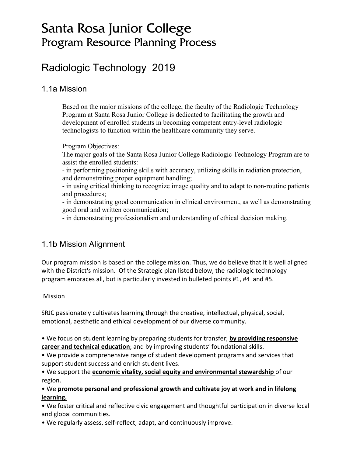# Santa Rosa Junior College Program Resource Planning Process

# Radiologic Technology 2019

### 1.1a Mission

Based on the major missions of the college, the faculty of the Radiologic Technology Program at Santa Rosa Junior College is dedicated to facilitating the growth and development of enrolled students in becoming competent entry-level radiologic technologists to function within the healthcare community they serve.

Program Objectives:

The major goals of the Santa Rosa Junior College Radiologic Technology Program are to assist the enrolled students:

- in performing positioning skills with accuracy, utilizing skills in radiation protection, and demonstrating proper equipment handling;

- in using critical thinking to recognize image quality and to adapt to non-routine patients and procedures;

- in demonstrating good communication in clinical environment, as well as demonstrating good oral and written communication;

- in demonstrating professionalism and understanding of ethical decision making.

## 1.1b Mission Alignment

Our program mission is based on the college mission. Thus, we do believe that it is well aligned with the District's mission. Of the Strategic plan listed below, the radiologic technology program embraces all, but is particularly invested in bulleted points #1, #4 and #5.

### Mission

SRJC passionately cultivates learning through the creative, intellectual, physical, social, emotional, aesthetic and ethical development of our diverse community.

• We focus on student learning by preparing students for transfer; **by providing responsive career and technical education**; and by improving students' foundational skills.

• We provide a comprehensive range of student development programs and services that support student success and enrich student lives.

• We support the **economic vitality, social equity and environmental stewardship** of our region.

• We **promote personal and professional growth and cultivate joy at work and in lifelong learning.**

• We foster critical and reflective civic engagement and thoughtful participation in diverse local and global communities.

• We regularly assess, self-reflect, adapt, and continuously improve.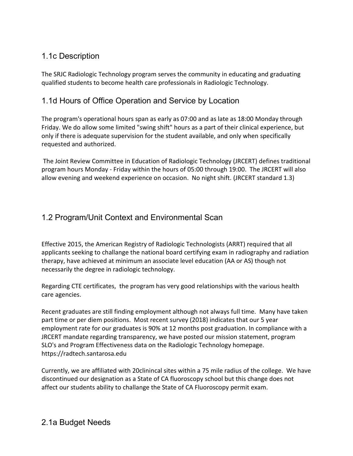## 1.1c Description

The SRJC Radiologic Technology program serves the community in educating and graduating qualified students to become health care professionals in Radiologic Technology.

## 1.1d Hours of Office Operation and Service by Location

The program's operational hours span as early as 07:00 and as late as 18:00 Monday through Friday. We do allow some limited "swing shift" hours as a part of their clinical experience, but only if there is adequate supervision for the student available, and only when specifically requested and authorized.

The Joint Review Committee in Education of Radiologic Technology (JRCERT) defines traditional program hours Monday - Friday within the hours of 05:00 through 19:00. The JRCERT will also allow evening and weekend experience on occasion. No night shift. (JRCERT standard 1.3)

## 1.2 Program/Unit Context and Environmental Scan

Effective 2015, the American Registry of Radiologic Technologists (ARRT) required that all applicants seeking to challange the national board certifying exam in radiography and radiation therapy, have achieved at minimum an associate level education (AA or AS) though not necessarily the degree in radiologic technology.

Regarding CTE certificates, the program has very good relationships with the various health care agencies.

Recent graduates are still finding employment although not always full time. Many have taken part time or per diem positions. Most recent survey (2018) indicates that our 5 year employment rate for our graduates is 90% at 12 months post graduation. In compliance with a JRCERT mandate regarding transparency, we have posted our mission statement, program SLO's and Program Effectiveness data on the Radiologic Technology homepage. https://radtech.santarosa.edu

Currently, we are affiliated with 20clinincal sites within a 75 mile radius of the college. We have discontinued our designation as a State of CA fluoroscopy school but this change does not affect our students ability to challange the State of CA Fluoroscopy permit exam.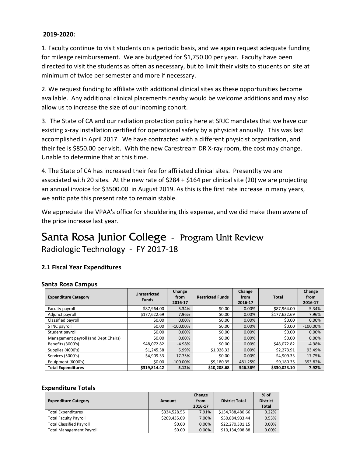#### **2019-2020:**

1. Faculty continue to visit students on a periodic basis, and we again request adequate funding for mileage reimbursement. We are budgeted for \$1,750.00 per year. Faculty have been directed to visit the students as often as necessary, but to limit their visits to students on site at minimum of twice per semester and more if necessary.

2. We request funding to affiliate with additional clinical sites as these opportunities become available. Any additional clinical placements nearby would be welcome additions and may also allow us to increase the size of our incoming cohort.

3. The State of CA and our radiation protection policy here at SRJC mandates that we have our existing x-ray installation certified for operational safety by a physicist annually. This was last accomplished in April 2017. We have contracted with a different physicist organization, and their fee is \$850.00 per visit. With the new Carestream DR X-ray room, the cost may change. Unable to determine that at this time.

4. The State of CA has increased their fee for affiliated clinical sites. Presentlty we are associated with 20 sites. At the new rate of \$284 + \$164 per clinical site (20) we are projecting an annual invoice for \$3500.00 in August 2019. As this is the first rate increase in many years, we anticipate this present rate to remain stable.

We appreciate the VPAA's office for shouldering this expense, and we did make them aware of the price increase last year.

# Santa Rosa Junior College - Program Unit Review Radiologic Technology - FY 2017-18

### **2.1 Fiscal Year Expenditures**

#### **Santa Rosa Campus**

| <b>Expenditure Category</b>          | Unrestricted<br><b>Funds</b> | Change<br>from<br>2016-17 | <b>Restricted Funds</b> | Change<br>from<br>2016-17 | <b>Total</b> | Change<br>from<br>2016-17 |
|--------------------------------------|------------------------------|---------------------------|-------------------------|---------------------------|--------------|---------------------------|
| Faculty payroll                      | \$87.964.00                  | 5.34%                     | \$0.00                  | 0.00%                     | \$87.964.00  | 5.34%                     |
| Adjunct payroll                      | \$177,622.69                 | 7.96%                     | \$0.00                  | 0.00%                     | \$177,622.69 | 7.96%                     |
| Classified payroll                   | \$0.00                       | 0.00%                     | \$0.00                  | 0.00%                     | \$0.00       | 0.00%                     |
| STNC payroll                         | \$0.00                       | $-100.00\%$               | \$0.00                  | 0.00%                     | \$0.00       | $-100.00\%$               |
| Student payroll                      | \$0.00                       | 0.00%                     | \$0.00                  | 0.00%                     | \$0.00       | 0.00%                     |
| Management payroll (and Dept Chairs) | \$0.00                       | 0.00%                     | \$0.00                  | 0.00%                     | \$0.00       | 0.00%                     |
| Benefits (3000's)                    | \$48.072.82                  | $-4.98%$                  | \$0.00                  | 0.00%                     | \$48,072.82  | $-4.98%$                  |
| Supplies (4000's)                    | \$1,245.58                   | 5.99%                     | \$1,028.33              | 0.00%                     | \$2,273.91   | 93.49%                    |
| Services (5000's)                    | \$4,909.33                   | 17.75%                    | \$0.00                  | 0.00%                     | \$4,909.33   | 17.75%                    |
| Equipment (6000's)                   | \$0.00                       | $-100.00\%$               | \$9,180.35              | 481.25%                   | \$9,180.35   | 393.82%                   |
| <b>Total Expenditures</b>            | \$319,814.42                 | 5.12%                     | \$10,208.68             | 546.36%                   | \$330,023.10 | 7.92%                     |

#### **Expenditure Totals**

| <b>Expenditure Category</b>     | Amount       | Change<br>from<br>2016-17 | <b>District Total</b> | $%$ of<br><b>District</b><br><b>Total</b> |
|---------------------------------|--------------|---------------------------|-----------------------|-------------------------------------------|
| <b>Total Expenditures</b>       | \$334.528.55 | 7.91%                     | \$154,788,480.66      | 0.22%                                     |
| <b>Total Faculty Payroll</b>    | \$269,435.09 | 7.06%                     | \$50,884,933.44       | 0.53%                                     |
| <b>Total Classified Payroll</b> | \$0.00       | 0.00%                     | \$22,270,301.15       | 0.00%                                     |
| <b>Total Management Payroll</b> | \$0.00       | 0.00%                     | \$10.134.908.88       | 0.00%                                     |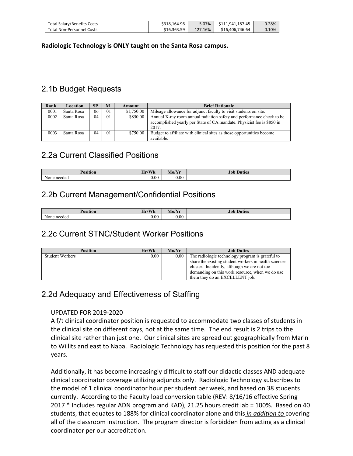| <b>Total Salary/Benefits Costs</b> | \$318,164.96 | .07%<br>3.U7 | \$111.941.187.45     | 0.28% |
|------------------------------------|--------------|--------------|----------------------|-------|
| <b>Total Non-Personnel Costs</b>   | \$16.363.59  | 127.16%      | 746.64<br>\$16,406.7 | 0.10% |

**Radiologic Technology is ONLY taught on the Santa Rosa campus.**

## 2.1b Budget Requests

| Rank | Location   | SP | M              | Amount     | <b>Brief Rationale</b>                                                                                                                                   |
|------|------------|----|----------------|------------|----------------------------------------------------------------------------------------------------------------------------------------------------------|
| 0001 | Santa Rosa | 06 | 0 <sub>1</sub> | \$1,750.00 | Mileage allowance for adjunct faculty to visit students on site.                                                                                         |
| 0002 | Santa Rosa | 04 | 0 <sub>1</sub> | \$850.00   | Annual X-ray room annual radiation safety and performance check to be<br>accomplished yearly per State of CA mandate. Physicist fee is \$850 in<br>2017. |
| 0003 | Santa Rosa | 04 | 0 <sub>1</sub> | \$750.00   | Budget to affiliate with clinical sites as those opportunities become<br>available.                                                                      |

### 2.2a Current Classified Positions

| n<br>$\cdots$<br>TOSHITOI | $\sqrt{\mathbf{X}}$<br><b>TY</b><br>41 I Z<br>77 D. | $\mathbf{N}$<br>. .<br><b>AVIO! 11</b> | $\sim$<br>Duties<br>JOI |
|---------------------------|-----------------------------------------------------|----------------------------------------|-------------------------|
| needed<br>None            | 0.00                                                | 0.00                                   |                         |

### 2.2b Current Management/Confidential Positions

| <b>Position</b> | Hr/Wk<br>$\mathbf{v}$ | Mo/Yr     | <b>Duties</b><br>Job |
|-----------------|-----------------------|-----------|----------------------|
| None needed     | 0.00                  | $_{0.00}$ |                      |

### 2.2c Current STNC/Student Worker Positions

| <b>Position</b>        | Hr/Wk | Mo/Yr | <b>Job Duties</b>                                     |
|------------------------|-------|-------|-------------------------------------------------------|
| <b>Student Workers</b> | 0.00  | 0.00  | The radiologic technology program is grateful to      |
|                        |       |       | share the existing student workers in health sciences |
|                        |       |       | cluster. Incidently, although we are not too          |
|                        |       |       | demanding on this work resource, when we do use       |
|                        |       |       | them they do an EXCELLENT job.                        |

### 2.2d Adequacy and Effectiveness of Staffing

#### UPDATED FOR 2019-2020

A f/t clinical coordinator position is requested to accommodate two classes of students in the clinical site on different days, not at the same time. The end result is 2 trips to the clinical site rather than just one. Our clinical sites are spread out geographically from Marin to Willits and east to Napa. Radiologic Technology has requested this position for the past 8 years.

Additionally, it has become increasingly difficult to staff our didactic classes AND adequate clinical coordinator coverage utilizing adjuncts only. Radiologic Technology subscribes to the model of 1 clinical coordinator hour per student per week, and based on 38 students currently. According to the Faculty load conversion table (REV: 8/16/16 effective Spring 2017 \* Includes regular ADN program and KAD), 21.25 hours credit lab = 100%. Based on 40 students, that equates to 188% for clinical coordinator alone and this *in addition to* covering all of the classroom instruction. The program director is forbidden from acting as a clinical coordinator per our accreditation.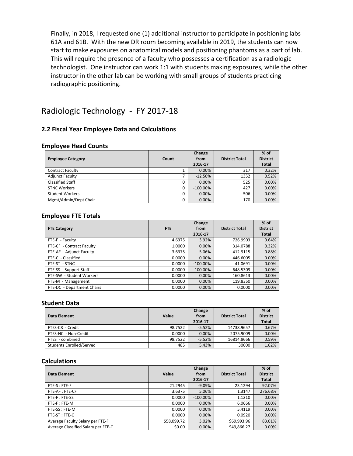Finally, in 2018, I requested one (1) additional instructor to participate in positioning labs 61A and 61B. With the new DR room becoming available in 2019, the students can now start to make exposures on anatomical models and positioning phantoms as a part of lab. This will require the presence of a faculty who possesses a certification as a radiologic technologist. One instructor can work 1:1 with students making exposures, while the other instructor in the other lab can be working with small groups of students practicing radiographic positioning.

## Radiologic Technology - FY 2017-18

#### **2.2 Fiscal Year Employee Data and Calculations**

#### **Employee Head Counts**

| <b>Employee Category</b> | Count | Change<br>from<br>2016-17 | <b>District Total</b> | $%$ of<br><b>District</b><br><b>Total</b> |
|--------------------------|-------|---------------------------|-----------------------|-------------------------------------------|
| <b>Contract Faculty</b>  |       | 0.00%                     | 317                   | 0.32%                                     |
| <b>Adjunct Faculty</b>   |       | $-12.50%$                 | 1352                  | 0.52%                                     |
| <b>Classified Staff</b>  | 0     | 0.00%                     | 525                   | 0.00%                                     |
| <b>STNC Workers</b>      | 0     | $-100.00\%$               | 427                   | 0.00%                                     |
| <b>Student Workers</b>   | 0     | 0.00%                     | 506                   | 0.00%                                     |
| Mgmt/Admin/Dept Chair    | 0     | 0.00%                     | 170                   | 0.00%                                     |

#### **Employee FTE Totals**

| <b>FTE Category</b>        | <b>FTE</b> | Change<br>from<br>2016-17 | <b>District Total</b> | $%$ of<br><b>District</b><br><b>Total</b> |
|----------------------------|------------|---------------------------|-----------------------|-------------------------------------------|
| FTE-F - Faculty            | 4.6375     | 3.92%                     | 726.9903              | 0.64%                                     |
| FTE-CF - Contract Faculty  | 1.0000     | 0.00%                     | 314.0788              | 0.32%                                     |
| FTE-AF - Adjunct Faculty   | 3.6375     | 5.06%                     | 412.9115              | 0.88%                                     |
| FTE-C - Classified         | 0.0000     | 0.00%                     | 446.6005              | 0.00%                                     |
| FTE-ST - STNC              | 0.0000     | $-100.00\%$               | 41.0691               | 0.00%                                     |
| FTE-SS - Support Staff     | 0.0000     | $-100.00\%$               | 648.5309              | 0.00%                                     |
| FTE-SW - Student Workers   | 0.0000     | 0.00%                     | 160.8613              | 0.00%                                     |
| FTE-M - Management         | 0.0000     | 0.00%                     | 119.8350              | 0.00%                                     |
| FTE-DC - Department Chairs | 0.0000     | 0.00%                     | 0.0000                | 0.00%                                     |

#### **Student Data**

| Data Element             | Value   | Change<br>from<br>2016 17 | <b>District Total</b> | $%$ of<br><b>District</b><br><b>Total</b> |
|--------------------------|---------|---------------------------|-----------------------|-------------------------------------------|
| FTES-CR - Credit         | 98.7522 | $-5.52%$                  | 14738.9657            | 0.67%                                     |
| FTES-NC - Non-Credit     | 0.0000  | 0.00%                     | 2075.9009             | 0.00%                                     |
| FTES - combined          | 98.7522 | $-5.52%$                  | 16814.8666            | 0.59%                                     |
| Students Enrolled/Served | 485     | 5.43%                     | 30000                 | 1.62%                                     |

#### **Calculations**

| Data Element                        | Value       | Change<br>from<br>2016 17 | <b>District Total</b> | $%$ of<br><b>District</b><br><b>Total</b> |
|-------------------------------------|-------------|---------------------------|-----------------------|-------------------------------------------|
| FTE-S: FTE-F                        | 21.2945     | $-9.09\%$                 | 23.1294               | 92.07%                                    |
| FTE-AF: FTE-CF                      | 3.6375      | 5.06%                     | 1.3147                | 276.68%                                   |
| FTE-F: FTE-SS                       | 0.0000      | $-100.00\%$               | 1.1210                | 0.00%                                     |
| FTE-F:FTE-M                         | 0.0000      | 0.00%                     | 6.0666                | 0.00%                                     |
| FTE-SS: FTE-M                       | 0.0000      | 0.00%                     | 5.4119                | 0.00%                                     |
| FTE-ST: FTE-C                       | 0.0000      | 0.00%                     | 0.0920                | 0.00%                                     |
| Average Faculty Salary per FTE-F    | \$58,099.72 | 3.02%                     | \$69,993.96           | 83.01%                                    |
| Average Classified Salary per FTE-C | \$0.00      | 0.00%                     | \$49,866.27           | 0.00%                                     |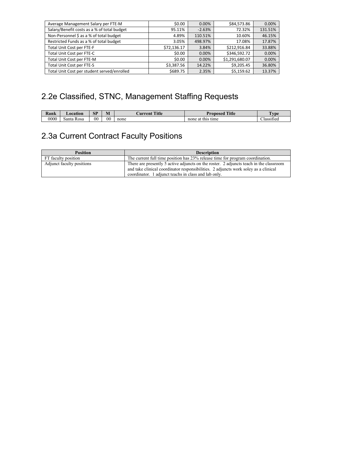| Average Management Salary per FTE-M         | \$0.00      | 0.00%    | \$84,573.86    | 0.00%   |
|---------------------------------------------|-------------|----------|----------------|---------|
| Salary/Benefit costs as a % of total budget | 95.11%      | $-2.63%$ | 72.32%         | 131.51% |
| Non-Personnel \$ as a % of total budget     | 4.89%       | 110.51%  | 10.60%         | 46.15%  |
| Restricted Funds as a % of total budget     | 3.05%       | 498.97%  | 17.08%         | 17.87%  |
| Total Unit Cost per FTE-F                   | \$72,136.17 | 3.84%    | \$212.916.84   | 33.88%  |
| Total Unit Cost per FTE-C                   | \$0.00      | $0.00\%$ | \$346.592.72   | 0.00%   |
| Total Unit Cost per FTE-M                   | \$0.00      | 0.00%    | \$1,291,680.07 | 0.00%   |
| Total Unit Cost per FTE-S                   | \$3,387.56  | 14.22%   | \$9,205.45     | 36.80%  |
| Total Unit Cost per student served/enrolled | \$689.75    | 2.35%    | \$5,159.62     | 13.37%  |

# 2.2e Classified, STNC, Management Staffing Requests

| Rank | <b>_ocation</b>      | <b>SP</b> | $ -$<br>M      | <b>Title</b><br>Aurrent | Title<br>Proposed       | vpe                        |
|------|----------------------|-----------|----------------|-------------------------|-------------------------|----------------------------|
| 0000 | <b>Rosa</b><br>santa | $_{00}$   | 0 <sup>0</sup> | none                    | tıme<br>none at<br>this | $\sim$<br>r.<br>Classified |

# 2.3a Current Contract Faculty Positions

| <b>Position</b>           | <b>Description</b>                                                                     |
|---------------------------|----------------------------------------------------------------------------------------|
| FT faculty position       | The current full time position has 23% release time for program coordination.          |
| Adjunct faculty positions | There are presently 5 active adjuncts on the roster. 2 adjuncts teach in the classroom |
|                           | and take clinical coordinator responsibilities. 2 adjuncts work soley as a clinical    |
|                           | coordinator. 1 adjunct teachs in class and lab only.                                   |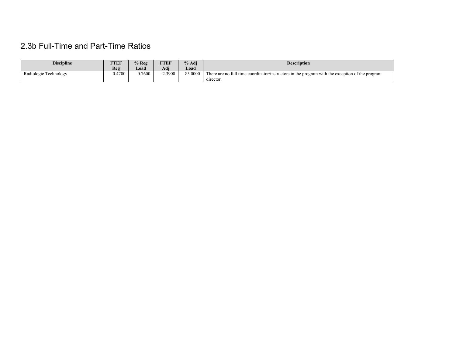# 2.3b Full-Time and Part-Time Ratios

| <b>Discipline</b>     | FTEF   | $\%$ Reg | FTEF   | % Adi   | <b>Description</b>                                                                              |
|-----------------------|--------|----------|--------|---------|-------------------------------------------------------------------------------------------------|
|                       | Reg    | Load     | Adj    | Load    |                                                                                                 |
| Radiologic Technology | 0.4700 | 0.7600   | 2.3900 | 85.0000 | There are no full time coordinator/instructors in the program with the exception of the program |
|                       |        |          |        |         | $\cdots$<br>director.                                                                           |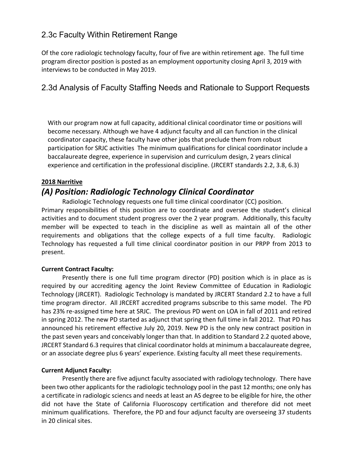### 2.3c Faculty Within Retirement Range

Of the core radiologic technology faculty, four of five are within retirement age. The full time program director position is posted as an employment opportunity closing April 3, 2019 with interviews to be conducted in May 2019.

## 2.3d Analysis of Faculty Staffing Needs and Rationale to Support Requests

With our program now at full capacity, additional clinical coordinator time or positions will become necessary. Although we have 4 adjunct faculty and all can function in the clinical coordinator capacity, these faculty have other jobs that preclude them from robust participation for SRJC activities The minimum qualifications for clinical coordinator include a baccalaureate degree, experience in supervision and curriculum design, 2 years clinical experience and certification in the professional discipline. (JRCERT standards 2.2, 3.8, 6.3)

### **2018 Narritive**

## *(A) Position: Radiologic Technology Clinical Coordinator*

Radiologic Technology requests one full time clinical coordinator (CC) position. Primary responsibilities of this position are to coordinate and oversee the student's clinical activities and to document student progress over the 2 year program. Additionally, this faculty member will be expected to teach in the discipline as well as maintain all of the other requirements and obligations that the college expects of a full time faculty. Radiologic Technology has requested a full time clinical coordinator position in our PRPP from 2013 to present.

#### **Current Contract Faculty:**

Presently there is one full time program director (PD) position which is in place as is required by our accrediting agency the Joint Review Committee of Education in Radiologic Technology (JRCERT). Radiologic Technology is mandated by JRCERT Standard 2.2 to have a full time program director. All JRCERT accredited programs subscribe to this same model. The PD has 23% re-assigned time here at SRJC. The previous PD went on LOA in fall of 2011 and retired in spring 2012. The new PD started as adjunct that spring then full time in fall 2012. That PD has announced his retirement effective July 20, 2019. New PD is the only new contract position in the past seven years and conceivably longer than that. In addition to Standard 2.2 quoted above, JRCERT Standard 6.3 requires that clinical coordinator holds at minimum a baccalaureate degree, or an associate degree plus 6 years' experience. Existing faculty all meet these requirements.

#### **Current Adjunct Faculty:**

Presently there are five adjunct faculty associated with radiology technology. There have been two other applicants for the radiologic technology pool in the past 12 months; one only has a certificate in radiologic sciencs and needs at least an AS degree to be eligible for hire, the other did not have the State of California Fluoroscopy certification and therefore did not meet minimum qualifications. Therefore, the PD and four adjunct faculty are overseeing 37 students in 20 clinical sites.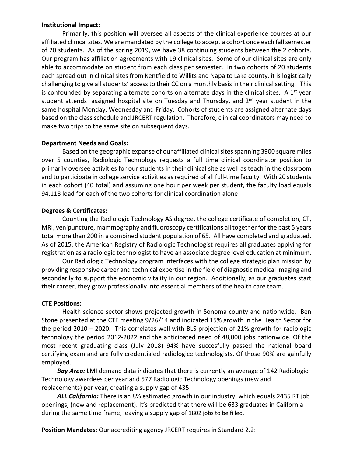#### **Institutional Impact:**

Primarily, this position will oversee all aspects of the clinical experience courses at our affiliated clinical sites. We are mandated by the college to accept a cohort once each fall semester of 20 students. As of the spring 2019, we have 38 continuing students between the 2 cohorts. Our program has affiliation agreements with 19 clinical sites. Some of our clinical sites are only able to accommodate on student from each class per semester. In two cohorts of 20 students each spread out in clinical sites from Kentfield to Willits and Napa to Lake county, it is logistically challenging to give all students' access to their CC on a monthly basis in their clinical setting. This is confounded by separating alternate cohorts on alternate days in the clinical sites. A  $1<sup>st</sup>$  year student attends assigned hospital site on Tuesday and Thursday, and 2<sup>nd</sup> year student in the same hospital Monday, Wednesday and Friday. Cohorts of students are assigned alternate days based on the class schedule and JRCERT regulation. Therefore, clinical coordinators may need to make two trips to the same site on subsequent days.

#### **Department Needs and Goals:**

Based on the geographic expanse of our affiliated clinical sites spanning 3900 square miles over 5 counties, Radiologic Technology requests a full time clinical coordinator position to primarily oversee activities for our students in their clinical site as well as teach in the classroom and to participate in college service activities as required of all full-time faculty. With 20 students in each cohort (40 total) and assuming one hour per week per student, the faculty load equals 94.118 load for each of the two cohorts for clinical coordination alone!

#### **Degrees & Certificates:**

Counting the Radiologic Technology AS degree, the college certificate of completion, CT, MRI, venipuncture, mammography and fluoroscopy certifications all together for the past 5 years total more than 200 in a combined student population of 65. All have completed and graduated. As of 2015, the American Registry of Radiologic Technologist requires all graduates applying for registration as a radiologic technologist to have an associate degree level education at minimum.

Our Radiologic Technology program interfaces with the college strategic plan mission by providing responsive career and technical expertise in the field of diagnostic medical imaging and secondarily to support the economic vitality in our region. Additionally, as our graduates start their career, they grow professionally into essential members of the health care team.

#### **CTE Positions:**

Health science sector shows projected growth in Sonoma county and nationwide. Ben Stone presented at the CTE meeting 9/26/14 and indicated 15% growth in the Health Sector for the period 2010 – 2020. This correlates well with BLS projection of 21% growth for radiologic technology the period 2012-2022 and the anticipated need of 48,000 jobs nationwide. Of the most recent graduating class (July 2018) 94% have succesfully passed the national board certifying exam and are fully credentialed radiologice technologists. Of those 90% are gainfully employed.

 *Bay Area:* LMI demand data indicates that there is currently an average of 142 Radiologic Technology awardees per year and 577 Radiologic Technology openings (new and replacements) per year, creating a supply gap of 435.

 *ALL California:* There is an 8% estimated growth in our industry, which equals 2435 RT job openings, (new and replacement). It's predicted that there will be 633 graduates in California during the same time frame, leaving a supply gap of 1802 jobs to be filled.

**Position Mandates**: Our accrediting agency JRCERT requires in Standard 2.2: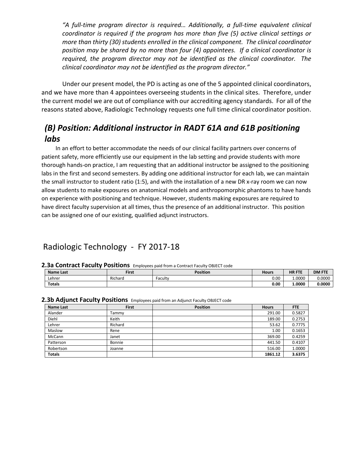*"A full-time program director is required… Additionally, a full-time equivalent clinical coordinator is required if the program has more than five (5) active clinical settings or more than thirty (30) students enrolled in the clinical component. The clinical coordinator position may be shared by no more than four (4) appointees. If a clinical coordinator is required, the program director may not be identified as the clinical coordinator. The clinical coordinator may not be identified as the program director."* 

Under our present model, the PD is acting as one of the 5 appointed clinical coordinators, and we have more than 4 appointees overseeing students in the clinical sites. Therefore, under the current model we are out of compliance with our accrediting agency standards. For all of the reasons stated above, Radiologic Technology requests one full time clinical coordinator position.

## *(B) Position: Additional instructor in RADT 61A and 61B positioning labs*

 In an effort to better accommodate the needs of our clinical facility partners over concerns of patient safety, more efficiently use our equipment in the lab setting and provide students with more thorough hands-on practice, I am requesting that an additional instructor be assigned to the positioning labs in the first and second semesters. By adding one additional instructor for each lab, we can maintain the small instructor to student ratio (1:5), and with the installation of a new DR x-ray room we can now allow students to make exposures on anatomical models and anthropomorphic phantoms to have hands on experience with positioning and technique. However, students making exposures are required to have direct faculty supervision at all times, thus the presence of an additional instructor. This position can be assigned one of our existing, qualified adjunct instructors.

### Radiologic Technology - FY 2017-18

#### **2.3a Contract Faculty Positions** Employees paid from a Contract Faculty OBJECT code

| <b>Name Last</b> | First   | <b>Position</b> | <b>Hours</b> | <b>HR FTE</b> | <b>DM FTE</b> |
|------------------|---------|-----------------|--------------|---------------|---------------|
| Lehrer           | Richard | Faculty         | 0.00         | 1.0000        | 0.0000        |
| Totals           |         |                 | 0.00         | 1.0000        | 0.0000        |

#### **2.3b Adjunct Faculty Positions** Employees paid from an Adjunct Faculty OBJECT code

| <b>Name Last</b> | First   | <b>Position</b> | <b>Hours</b> | FTE    |
|------------------|---------|-----------------|--------------|--------|
| Alander          | Tammv   |                 | 291.00       | 0.5827 |
| Diehl            | Keith   |                 | 189.00       | 0.2753 |
| Lehrer           | Richard |                 | 53.62        | 0.7775 |
| Maslow           | Rene    |                 | 1.00         | 0.1653 |
| McCann           | Janet   |                 | 369.00       | 0.4259 |
| Patterson        | Bonnie  |                 | 441.50       | 0.4107 |
| Robertson        | Joanne  |                 | 516.00       | 1.0000 |
| <b>Totals</b>    |         |                 | 1861.12      | 3.6375 |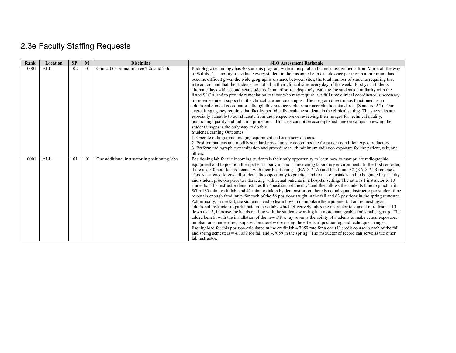# 2.3e Faculty Staffing Requests

| Rank | Location   | SP | $\mathbf{M}$   | <b>Discipline</b>                             | <b>SLO Assessment Rationale</b>                                                                                                                                                                                                                                                                                                                                                                                                                                                                                                                                                                                                                                                                                                                                                                                                                                                                                                                                                                                                                                                                                                                                                                                                                                                                                                                                                                                                                                                                                                                                                                                                                                                                                                                                                                                              |
|------|------------|----|----------------|-----------------------------------------------|------------------------------------------------------------------------------------------------------------------------------------------------------------------------------------------------------------------------------------------------------------------------------------------------------------------------------------------------------------------------------------------------------------------------------------------------------------------------------------------------------------------------------------------------------------------------------------------------------------------------------------------------------------------------------------------------------------------------------------------------------------------------------------------------------------------------------------------------------------------------------------------------------------------------------------------------------------------------------------------------------------------------------------------------------------------------------------------------------------------------------------------------------------------------------------------------------------------------------------------------------------------------------------------------------------------------------------------------------------------------------------------------------------------------------------------------------------------------------------------------------------------------------------------------------------------------------------------------------------------------------------------------------------------------------------------------------------------------------------------------------------------------------------------------------------------------------|
| 0001 | <b>ALL</b> | 02 | 0 <sub>1</sub> | Clinical Coordinator - see 2.2d and 2.3d      | Radiologic technology has 40 students program wide in hospital and clinical assignments from Marin all the way<br>to Willits. The ability to evaluate every student in their assigned clinical site once per month at minimum has<br>become difficult given the wide geographic distance between sites, the total number of students requiring that<br>interaction, and that the students are not all in their clinical sites every day of the week. First year students<br>alternate days with second year students. In an effort to adequately evaluate the student's familiarity with the<br>listed SLO's, and to provide remediation to those who may require it, a full time clinical coordinator is necessary<br>to provide student support in the clinical site and on campus. The program director has functioned as an<br>additional clinical coordinator although this practice violates our accreditation standards (Standard 2.2). Our<br>accrediting agency requires that faculty periodically evaluate students in the clinical setting. The site visits are<br>especially valuable to our students from the perspective or reviewing their images for technical quality,<br>positioning quality and radiation protection. This task cannot be accomplished here on campus, viewing the<br>student images is the only way to do this.<br><b>Student Learning Outcomes:</b><br>1. Operate radiographic imaging equipment and accessory devices.<br>2. Position patients and modify standard procedures to accommodate for patient condition exposure factors.<br>3. Perform radiographic examination and procedures with minimum radiation exposure for the patient, self, and<br>others.                                                                                                                       |
| 0001 | <b>ALL</b> | 01 | 0 <sub>1</sub> | One additional instructor in positioning labs | Positioning lab for the incoming students is their only opportunity to learn how to manipulate radiographic<br>equipment and to position their patient's body in a non-threatening laboratory environment. In the first semester,<br>there is a 3.0 hour lab associated with their Positioning 1 (RADT61A) and Positioning 2 (RADT61B) courses.<br>This is designed to give all students the opportunity to practice and to make mistakes and to be guided by faculty<br>and student proctors prior to interacting with actual patients in a hospital setting. The ratio is 1 instructor to 10<br>students. The instructor demonstrates the "positions of the day" and then allows the students time to practice it.<br>With 180 minutes in lab, and 45 minutes taken by demonstration, there is not adequate instructor per student time<br>to obtain enough familiarity for each of the 58 positions taught in the fall and 63 positions in the spring semester.<br>Additionally, in the fall, the students need to learn how to manipulate the equipment. I am requesting an<br>additional instructor to participate in these labs which effectively takes the instructor to student ratio from 1:10<br>down to 1:5, increase the hands on time with the students working in a more manageable and smaller group. The<br>added benefit with the installation of the new DR x-ray room is the ability of students to make actual exposures<br>on phantoms under direct supervision thereby observing the effects of positioning and technique changes.<br>Faculty load for this position calculated at the credit lab 4.7059 rate for a one (1) credit course in each of the fall<br>and spring semesters $= 4.7059$ for fall and 4.7059 in the spring. The instructor of record can serve as the other<br>lab instructor. |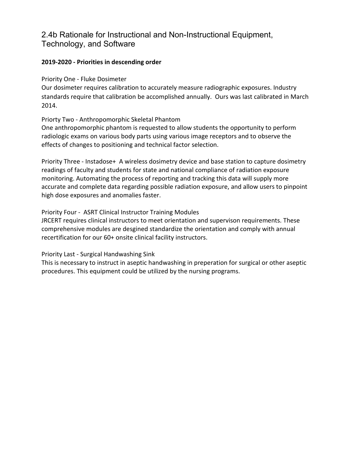## 2.4b Rationale for Instructional and Non-Instructional Equipment, Technology, and Software

### **2019-2020 - Priorities in descending order**

Priority One - Fluke Dosimeter

Our dosimeter requires calibration to accurately measure radiographic exposures. Industry standards require that calibration be accomplished annually. Ours was last calibrated in March 2014.

Priorty Two - Anthropomorphic Skeletal Phantom

One anthropomorphic phantom is requested to allow students the opportunity to perform radiologic exams on various body parts using various image receptors and to observe the effects of changes to positioning and technical factor selection.

Priority Three - Instadose+ A wireless dosimetry device and base station to capture dosimetry readings of faculty and students for state and national compliance of radiation exposure monitoring. Automating the process of reporting and tracking this data will supply more accurate and complete data regarding possible radiation exposure, and allow users to pinpoint high dose exposures and anomalies faster.

Priority Four - ASRT Clinical Instructor Training Modules

JRCERT requires clinical instructors to meet orientation and supervison requirements. These comprehensive modules are desgined standardize the orientation and comply with annual recertification for our 60+ onsite clinical facility instructors.

Priority Last - Surgical Handwashing Sink

This is necessary to instruct in aseptic handwashing in preperation for surgical or other aseptic procedures. This equipment could be utilized by the nursing programs.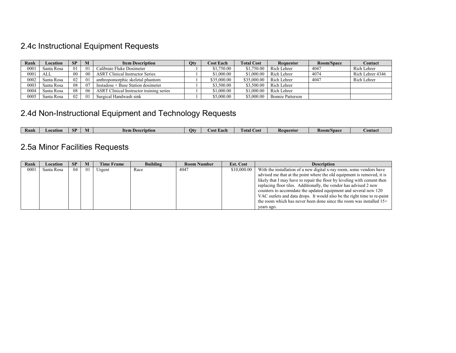# 2.4c Instructional Equipment Requests

| Rank | Location   | <b>SP</b> | M              | <b>Item Description</b>                         | <b>Qty</b> | <b>Cost Each</b> | <b>Total Cost</b> | <b>Requestor</b> | Room/Space | Contact          |
|------|------------|-----------|----------------|-------------------------------------------------|------------|------------------|-------------------|------------------|------------|------------------|
| 0001 | Santa Rosa | 01        | 01             | Calibrate Fluke Dosimeter                       |            | \$1,750.00       | \$1,750.00        | Rich Lehrer      | 4047       | Rich Lehrer      |
| 0001 | ALL        | 00        | 0 <sup>0</sup> | <b>ASRT</b> Clinical Instructor Series          |            | \$1,000.00       | \$1,000.00        | Rich Lehrer      | 4074       | Rich Lehrer 4346 |
| 0002 | Santa Rosa | 02        | 01             | anthropomorphic skeletal phantom                |            | \$35,000.00      | \$35,000.00       | Rich Lehrer      | 4047       | Rich Lehrer      |
| 0003 | Santa Rosa | 08        | 07             | Instadose + Base Station dosimeter              |            | \$3,500.00       | \$3,500.00        | Rich Lehrer      |            |                  |
| 0004 | Santa Rosa | 08        | -06            | <b>ASRT</b> Clinical Instructor training series |            | \$1,000.00       | \$1,000.00        | Rich Lehrer      |            |                  |
| 0005 | Santa Rosa | 02        | 01             | Surgical Handwash sink                          |            | \$5,000.00       | \$5,000.00        | Bonnie Patterson |            |                  |

# 2.4d Non-Instructional Equipment and Technology Requests

| Rank | LOCATIOI | сn<br>w | IVI | Ttem<br>ıntıor | Otv | $\sim$ 0.0 $\sim$<br>ns.<br>a a ce | Cost<br>1 otal | Kequestor | <b>Room/Space</b> | <b>contact</b> |
|------|----------|---------|-----|----------------|-----|------------------------------------|----------------|-----------|-------------------|----------------|

# 2.5a Minor Facilities Requests

| Rank | Location   | <b>SP</b> | M   | <b>Time Frame</b> | <b>Building</b> | <b>Room Number</b> | <b>Est. Cost</b> | <b>Description</b>                                                                                                                                                                                                                                                                                                                                                                                                                                                                                                   |
|------|------------|-----------|-----|-------------------|-----------------|--------------------|------------------|----------------------------------------------------------------------------------------------------------------------------------------------------------------------------------------------------------------------------------------------------------------------------------------------------------------------------------------------------------------------------------------------------------------------------------------------------------------------------------------------------------------------|
| 0001 | Santa Rosa | 04        | -01 | Urgent            | Race            | 4047               | \$10,000.00      | With the installation of a new digital x-ray room, some vendors have<br>advised me that at the point where the old equipment is removed, it is<br>likely that I may have to repair the floor by leveling with cement then<br>replacing floor tiles. Additionally, the vendor has advised 2 new<br>counters to accomidate the updated equipment and several new 120<br>VAC outlets and data drops. It would also be the right time to re-paint<br>the room which has never been done since the room was installed 15+ |
|      |            |           |     |                   |                 |                    |                  | years ago.                                                                                                                                                                                                                                                                                                                                                                                                                                                                                                           |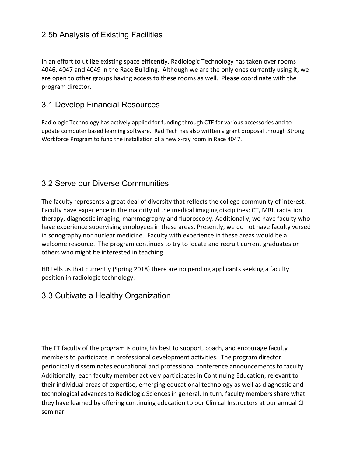## 2.5b Analysis of Existing Facilities

In an effort to utilize existing space efficently, Radiologic Technology has taken over rooms 4046, 4047 and 4049 in the Race Building. Although we are the only ones currently using it, we are open to other groups having access to these rooms as well. Please coordinate with the program director.

### 3.1 Develop Financial Resources

Radiologic Technology has actively applied for funding through CTE for various accessories and to update computer based learning software. Rad Tech has also written a grant proposal through Strong Workforce Program to fund the installation of a new x-ray room in Race 4047.

## 3.2 Serve our Diverse Communities

The faculty represents a great deal of diversity that reflects the college community of interest. Faculty have experience in the majority of the medical imaging disciplines; CT, MRI, radiation therapy, diagnostic imaging, mammography and fluoroscopy. Additionally, we have faculty who have experience supervising employees in these areas. Presently, we do not have faculty versed in sonography nor nuclear medicine. Faculty with experience in these areas would be a welcome resource. The program continues to try to locate and recruit current graduates or others who might be interested in teaching.

HR tells us that currently (Spring 2018) there are no pending applicants seeking a faculty position in radiologic technology.

### 3.3 Cultivate a Healthy Organization

The FT faculty of the program is doing his best to support, coach, and encourage faculty members to participate in professional development activities. The program director periodically disseminates educational and professional conference announcements to faculty. Additionally, each faculty member actively participates in Continuing Education, relevant to their individual areas of expertise, emerging educational technology as well as diagnostic and technological advances to Radiologic Sciences in general. In turn, faculty members share what they have learned by offering continuing education to our Clinical Instructors at our annual CI seminar.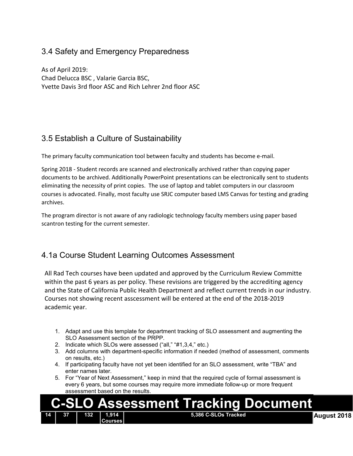## 3.4 Safety and Emergency Preparedness

As of April 2019: Chad Delucca BSC , Valarie Garcia BSC, Yvette Davis 3rd floor ASC and Rich Lehrer 2nd floor ASC

## 3.5 Establish a Culture of Sustainability

The primary faculty communication tool between faculty and students has become e-mail.

Spring 2018 - Student records are scanned and electronically archived rather than copying paper documents to be archived. Additionally PowerPoint presentations can be electronically sent to students eliminating the necessity of print copies. The use of laptop and tablet computers in our classroom courses is advocated. Finally, most faculty use SRJC computer based LMS Canvas for testing and grading archives.

The program director is not aware of any radiologic technology faculty members using paper based scantron testing for the current semester.

### 4.1a Course Student Learning Outcomes Assessment

All Rad Tech courses have been updated and approved by the Curriculum Review Committe within the past 6 years as per policy. These revisions are triggered by the accrediting agency and the State of California Public Health Department and reflect current trends in our industry. Courses not showing recent asscessment will be entered at the end of the 2018-2019 academic year.

- 1. Adapt and use this template for department tracking of SLO assessment and augmenting the SLO Assessment section of the PRPP.
- 2. Indicate which SLOs were assessed ("all," "#1,3,4," etc.)
- 3. Add columns with department-specific information if needed (method of assessment, comments on results, etc.)
- 4. If participating faculty have not yet been identified for an SLO assessment, write "TBA" and enter names later.
- 5. For "Year of Next Assessment," keep in mind that the required cycle of formal assessment is every 6 years, but some courses may require more immediate follow-up or more frequent assessment based on the results.

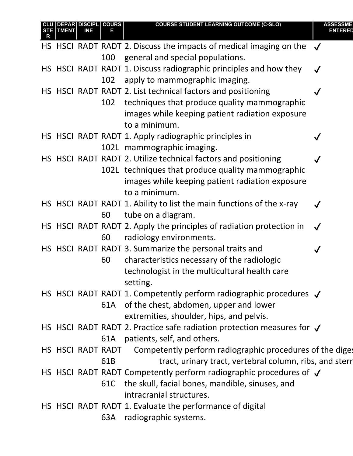|  | TMENT | <b>DEPAR DISCIPL COURS</b><br>INE |                 | <b>COURSE STUDENT LEARNING OUTCOME (C-SLO)</b>                                 | ASSESSME     |
|--|-------|-----------------------------------|-----------------|--------------------------------------------------------------------------------|--------------|
|  |       |                                   |                 |                                                                                |              |
|  |       |                                   |                 | HS HSCI RADT RADT 2. Discuss the impacts of medical imaging on the $\sqrt{\ }$ |              |
|  |       |                                   | 100             | general and special populations.                                               |              |
|  |       |                                   |                 | HS HSCI RADT RADT 1. Discuss radiographic principles and how they              | $\checkmark$ |
|  |       |                                   | 102             | apply to mammographic imaging.                                                 |              |
|  |       |                                   |                 | HS HSCI RADT RADT 2. List technical factors and positioning                    |              |
|  |       |                                   | 102             | techniques that produce quality mammographic                                   |              |
|  |       |                                   |                 | images while keeping patient radiation exposure                                |              |
|  |       |                                   |                 | to a minimum.                                                                  |              |
|  |       |                                   |                 | HS HSCI RADT RADT 1. Apply radiographic principles in                          |              |
|  |       |                                   |                 | 102L mammographic imaging.                                                     |              |
|  |       |                                   |                 | HS HSCI RADT RADT 2. Utilize technical factors and positioning                 |              |
|  |       |                                   |                 | 102L techniques that produce quality mammographic                              |              |
|  |       |                                   |                 | images while keeping patient radiation exposure                                |              |
|  |       |                                   |                 | to a minimum.                                                                  |              |
|  |       |                                   |                 | HS HSCI RADT RADT 1. Ability to list the main functions of the x-ray           |              |
|  |       |                                   | 60              | tube on a diagram.                                                             |              |
|  |       |                                   |                 | HS HSCI RADT RADT 2. Apply the principles of radiation protection in           | $\checkmark$ |
|  |       |                                   | 60              | radiology environments.                                                        |              |
|  |       |                                   |                 | HS HSCI RADT RADT 3. Summarize the personal traits and                         |              |
|  |       |                                   | 60              | characteristics necessary of the radiologic                                    |              |
|  |       |                                   |                 | technologist in the multicultural health care                                  |              |
|  |       |                                   |                 | setting.                                                                       |              |
|  |       |                                   |                 | HS HSCI RADT RADT 1. Competently perform radiographic procedures $\sqrt$       |              |
|  |       |                                   |                 | 61A of the chest, abdomen, upper and lower                                     |              |
|  |       |                                   |                 | extremities, shoulder, hips, and pelvis.                                       |              |
|  |       |                                   |                 | HS HSCI RADT RADT 2. Practice safe radiation protection measures for $\sqrt$   |              |
|  |       |                                   | 61A             | patients, self, and others.                                                    |              |
|  |       |                                   |                 | HS HSCI RADT RADT Competently perform radiographic procedures of the diges     |              |
|  |       |                                   | 61 <sub>B</sub> | tract, urinary tract, vertebral column, ribs, and stern                        |              |
|  |       |                                   |                 | HS HSCI RADT RADT Competently perform radiographic procedures of $\sqrt$       |              |
|  |       |                                   | 61C             | the skull, facial bones, mandible, sinuses, and                                |              |
|  |       |                                   |                 | intracranial structures.                                                       |              |
|  |       |                                   |                 | HS HSCI RADT RADT 1. Evaluate the performance of digital                       |              |
|  |       |                                   | 63A             | radiographic systems.                                                          |              |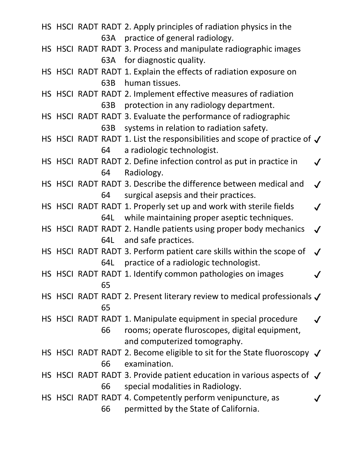HS HSCI RADT RADT 2. Apply principles of radiation physics in the 63A practice of general radiology. HS HSCI RADT RADT 3. Process and manipulate radiographic images 63A for diagnostic quality. HS HSCI RADT RADT 1. Explain the effects of radiation exposure on 63B human tissues. HS HSCI RADT RADT 2. Implement effective measures of radiation 63B protection in any radiology department. HS HSCI RADT RADT 3. Evaluate the performance of radiographic 63B systems in relation to radiation safety. HS HSCI RADT RADT 1. List the responsibilities and scope of practice of  $\checkmark$ 64 a radiologic technologist. HS HSCI RADT RADT 2. Define infection control as put in practice in 64 Radiology.  $\checkmark$ HS HSCI RADT RADT 3. Describe the difference between medical and 64 surgical asepsis and their practices.  $\checkmark$ HS HSCI RADT RADT 1. Properly set up and work with sterile fields 64L while maintaining proper aseptic techniques.  $\boldsymbol{\mathcal{J}}$ HS HSCI RADT RADT 2. Handle patients using proper body mechanics 64L and safe practices.  $\boldsymbol{\mathcal{J}}$ HS HSCI RADT RADT 3. Perform patient care skills within the scope of 64L practice of a radiologic technologist.  $\checkmark$ HS HSCI RADT RADT 1. Identify common pathologies on images  $\bigvee$ 65 HS HSCI RADT RADT 2. Present literary review to medical professionals  $\checkmark$ 65 HS HSCI RADT RADT 1. Manipulate equipment in special procedure 66 rooms; operate fluroscopes, digital equipment, and computerized tomography.  $\checkmark$ HS HSCI RADT RADT 2. Become eligible to sit for the State fluoroscopy  $\sqrt$ 66 examination. HS HSCI RADT RADT 3. Provide patient education in various aspects of  $\sqrt$ 66 special modalities in Radiology. HS HSCI RADT RADT 4. Competently perform venipuncture, as 66 permitted by the State of California.  $\bm{J}$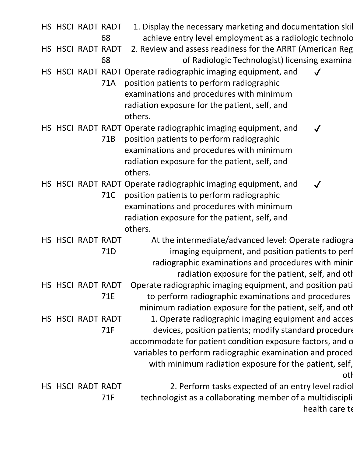|  | HS HSCI RADT RADT | 68  | 1. Display the necessary marketing and documentation skil<br>achieve entry level employment as a radiologic technolo                                                                                                                                                                                   |
|--|-------------------|-----|--------------------------------------------------------------------------------------------------------------------------------------------------------------------------------------------------------------------------------------------------------------------------------------------------------|
|  | HS HSCI RADT RADT | 68  | 2. Review and assess readiness for the ARRT (American Reg<br>of Radiologic Technologist) licensing examinat                                                                                                                                                                                            |
|  |                   | 71A | HS HSCI RADT RADT Operate radiographic imaging equipment, and<br>position patients to perform radiographic<br>examinations and procedures with minimum<br>radiation exposure for the patient, self, and<br>others.                                                                                     |
|  |                   | 71B | HS HSCI RADT RADT Operate radiographic imaging equipment, and<br>$\checkmark$<br>position patients to perform radiographic<br>examinations and procedures with minimum<br>radiation exposure for the patient, self, and<br>others.                                                                     |
|  |                   | 71C | HS HSCI RADT RADT Operate radiographic imaging equipment, and<br>position patients to perform radiographic<br>examinations and procedures with minimum<br>radiation exposure for the patient, self, and<br>others.                                                                                     |
|  | HS HSCI RADT RADT | 71D | At the intermediate/advanced level: Operate radiogra<br>imaging equipment, and position patients to perf<br>radiographic examinations and procedures with minin<br>radiation exposure for the patient, self, and oth                                                                                   |
|  | HS HSCI RADT RADT | 71E | Operate radiographic imaging equipment, and position pati<br>to perform radiographic examinations and procedures<br>minimum radiation exposure for the patient, self, and oth                                                                                                                          |
|  | HS HSCI RADT RADT | 71F | 1. Operate radiographic imaging equipment and acces<br>devices, position patients; modify standard procedure<br>accommodate for patient condition exposure factors, and o<br>variables to perform radiographic examination and proced<br>with minimum radiation exposure for the patient, self,<br>oth |
|  | HS HSCI RADT RADT | 71F | 2. Perform tasks expected of an entry level radio<br>technologist as a collaborating member of a multidiscipli<br>health care te                                                                                                                                                                       |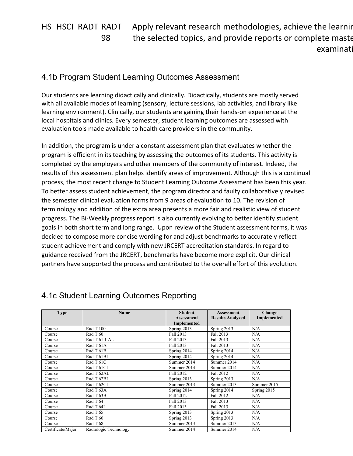HS HSCI RADT RADT 98 Apply relevant research methodologies, achieve the learning the selected topics, and provide reports or complete maste examinati

### 4.1b Program Student Learning Outcomes Assessment

Our students are learning didactically and clinically. Didactically, students are mostly served with all available modes of learning (sensory, lecture sessions, lab activities, and library like learning environment). Clinically, our students are gaining their hands-on experience at the local hospitals and clinics. Every semester, student learning outcomes are assessed with evaluation tools made available to health care providers in the community.

In addition, the program is under a constant assessment plan that evaluates whether the program is efficient in its teaching by assessing the outcomes of its students. This activity is completed by the employers and other members of the community of interest. Indeed, the results of this assessment plan helps identify areas of improvement. Although this is a continual process, the most recent change to Student Learning Outcome Assessment has been this year. To better assess student achievement, the program director and faulty collaboratively revised the semester clinical evaluation forms from 9 areas of evaluation to 10. The revision of terminology and addition of the extra area presents a more fair and realistic view of student progress. The Bi-Weekly progress report is also currently evolving to better identify student goals in both short term and long range. Upon review of the Student assessment forms, it was decided to compose more concise wording for and adjust benchmarks to accurately reflect student achievement and comply with new JRCERT accreditation standards. In regard to guidance received from the JRCERT, benchmarks have become more explicit. Our clinical partners have supported the process and contributed to the overall effort of this evolution.

| <b>Type</b>       | <b>Name</b>           | <b>Student</b>     | <b>Assessment</b>       | Change      |
|-------------------|-----------------------|--------------------|-------------------------|-------------|
|                   |                       | <b>Assessment</b>  | <b>Results Analyzed</b> | Implemented |
|                   |                       | <b>Implemented</b> |                         |             |
| Course            | Rad T 100             | Spring 2013        | Spring 2013             | N/A         |
| Course            | Rad T 60              | Fall 2013          | Fall 2013               | N/A         |
| Course            | Rad T 61.1 AL         | Fall 2013          | Fall 2013               | N/A         |
| Course            | Rad T 61A             | Fall 2013          | Fall 2013               | N/A         |
| Course            | Rad T 61B             | Spring 2014        | Spring 2014             | N/A         |
| Course            | Rad T 61BL            | Spring 2014        | Spring 2014             | N/A         |
| Course            | Rad T 61C             | Summer 2014        | Summer 2014             | N/A         |
| Course            | Rad T 61CL            | Summer 2014        | Summer 2014             | N/A         |
| Course            | Rad T 62AL            | Fall 2012          | <b>Fall 2012</b>        | N/A         |
| Course            | Rad T 62BL            | Spring 2013        | Spring $2013$           | N/A         |
| Course            | Rad T 62CL            | Summer 2013        | Summer 2013             | Summer 2015 |
| Course            | Rad T 63A             | Spring 2014        | Spring 2014             | Spring 2015 |
| Course            | Rad T 63B             | Fall 2012          | Fall 2012               | N/A         |
| Course            | Rad T 64              | Fall 2013          | Fall 2013               | N/A         |
| Course            | Rad T 64L             | Fall 2013          | Fall 2013               | N/A         |
| Course            | Rad T 65              | Spring 2013        | Spring 2013             | N/A         |
| Course            | Rad T 66              | Spring 2013        | Spring 2013             | N/A         |
| Course            | Rad T 68              | Summer 2013        | Summer 2013             | N/A         |
| Certificate/Major | Radiologic Technology | Summer 2014        | Summer 2014             | N/A         |

## 4.1c Student Learning Outcomes Reporting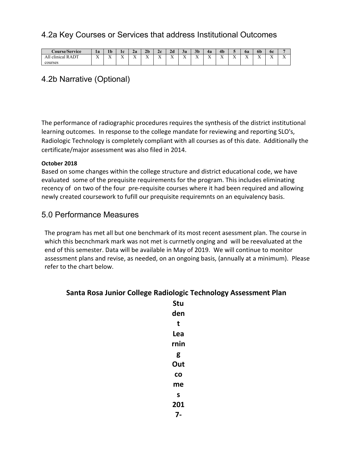## 4.2a Key Courses or Services that address Institutional Outcomes

| <b>Course/Service</b>                            | $\bullet$<br>Ιa                 | 1 <sub>b</sub>        | ıω<br>16             | 2a               | 2 <sub>b</sub>                       | 2c                | 2d          | 3a                              | 3 <sub>b</sub>        | 4a                   | 4 <sub>b</sub>        | $\cdot$                         | ba               | 6 <sub>b</sub> | 6c                              |                            |
|--------------------------------------------------|---------------------------------|-----------------------|----------------------|------------------|--------------------------------------|-------------------|-------------|---------------------------------|-----------------------|----------------------|-----------------------|---------------------------------|------------------|----------------|---------------------------------|----------------------------|
| ۱DT<br>$\mathbf{11}$<br>D.<br>clinical<br>ĸ<br>. | $-$<br>$\overline{\phantom{a}}$ | $-$<br>$\overline{ }$ | $-$<br>$\rightarrow$ | $-$<br>$\lambda$ | <b>W</b><br>$\overline{\phantom{a}}$ | $ -$<br>$\lambda$ | $ -$<br>. . | $-$<br>$\overline{\phantom{a}}$ | $-$<br>$\overline{ }$ | $-$<br>$\rightarrow$ | <b>W</b><br>$\lambda$ | $-$<br>$\overline{\phantom{a}}$ | $-$<br>$\lambda$ | $ -$<br>. .    | $-$<br>$\overline{\phantom{a}}$ | $\sim$ $\sim$<br>$\lambda$ |
| courses                                          |                                 |                       |                      |                  |                                      |                   |             |                                 |                       |                      |                       |                                 |                  |                |                                 |                            |

## 4.2b Narrative (Optional)

The performance of radiographic procedures requires the synthesis of the district institutional learning outcomes. In response to the college mandate for reviewing and reporting SLO's, Radiologic Technology is completely compliant with all courses as of this date. Additionally the certificate/major assessment was also filed in 2014.

#### **October 2018**

Based on some changes within the college structure and district educational code, we have evaluated some of the prequisite requirements for the program. This includes eliminating recency of on two of the four pre-requisite courses where it had been required and allowing newly created coursework to fufill our prequisite requiremnts on an equivalency basis.

### 5.0 Performance Measures

The program has met all but one benchmark of its most recent asessment plan. The course in which this becnchmark mark was not met is currnetly onging and will be reevaluated at the end of this semester. Data will be available in May of 2019. We will continue to monitor assessment plans and revise, as needed, on an ongoing basis, (annually at a minimum). Please refer to the chart below.

### **Santa Rosa Junior College Radiologic Technology Assessment Plan**

| Stu  |
|------|
| den  |
| t    |
| Lea  |
| rnin |
| g    |
| Out  |
| CO   |
| me   |
| S    |
| 201  |
| 7-   |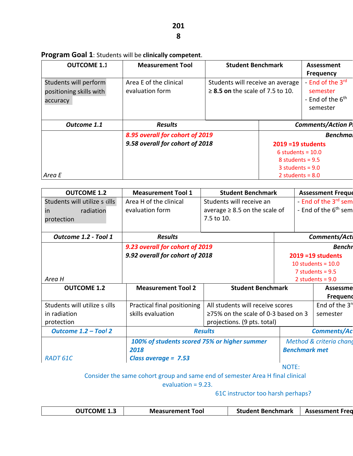## **Program Goal 1**: Students will be **clinically competent**.

| <b>OUTCOME 1.1</b>                                           | <b>Measurement Tool</b>                   | <b>Student Benchmark</b>                                                  |                      | Assessment<br><b>Frequency</b>                                                       |
|--------------------------------------------------------------|-------------------------------------------|---------------------------------------------------------------------------|----------------------|--------------------------------------------------------------------------------------|
| Students will perform<br>positioning skills with<br>accuracy | Area E of the clinical<br>evaluation form | Students will receive an average<br>$\geq$ 8.5 on the scale of 7.5 to 10. |                      | - End of the 3 <sup>rd</sup><br>semester<br>- End of the 6 <sup>th</sup><br>semester |
| Outcome 1.1                                                  | <b>Results</b>                            |                                                                           |                      | <b>Comments/Action P</b>                                                             |
|                                                              | 8.95 overall for cohort of 2019           |                                                                           |                      | <b>Benchmal</b>                                                                      |
|                                                              | 9.58 overall for cohort of 2018           |                                                                           | $2019 = 19$ students |                                                                                      |
|                                                              |                                           |                                                                           | 6 students = $10.0$  |                                                                                      |
|                                                              |                                           |                                                                           | 8 students = $9.5$   |                                                                                      |
|                                                              |                                           |                                                                           | 3 students = $9.0$   |                                                                                      |
| Area E                                                       |                                           |                                                                           | 2 students = $8.0$   |                                                                                      |

| <b>OUTCOME 1.2</b>            | <b>Measurement Tool 1</b>                    | <b>Student Benchmark</b>                  |                      | <b>Assessment Freque</b>         |
|-------------------------------|----------------------------------------------|-------------------------------------------|----------------------|----------------------------------|
| Students will utilize s cills | Area H of the clinical                       | Students will receive an                  |                      | End of the 3 <sup>rd</sup> sem   |
| radiation<br>in               | evaluation form                              | average $\geq 8.5$ on the scale of        |                      | - End of the 6 <sup>th</sup> sem |
| protection                    |                                              | 7.5 to 10.                                |                      |                                  |
|                               |                                              |                                           |                      |                                  |
| Outcome 1.2 - Tool 1          | <b>Results</b>                               |                                           |                      | Comments/Acti                    |
|                               | 9.23 overall for cohort of 2019              |                                           |                      | <b>Benchr</b>                    |
|                               | 9.92 overall for cohort of 2018              | $2019 = 19$ students                      |                      |                                  |
|                               |                                              |                                           |                      | 10 students = $10.0$             |
|                               |                                              |                                           |                      | 7 students = $9.5$               |
| Area H                        |                                              |                                           |                      | 2 students = $9.0$               |
| <b>OUTCOME 1.2</b>            | <b>Measurement Tool 2</b>                    | <b>Student Benchmark</b>                  |                      | Assessmel                        |
|                               |                                              |                                           |                      | <b>Frequend</b>                  |
| Students will utilize s cills | Practical final positioning                  | All students will receive scores          |                      | End of the $3n$                  |
| in radiation                  | skills evaluation                            | $\geq$ 75% on the scale of 0-3 based on 3 |                      | semester                         |
| protection                    |                                              | projections. (9 pts. total)               |                      |                                  |
| Outcome 1.2 - Tool 2          |                                              | <b>Results</b>                            |                      | <b>Comments/Ac</b>               |
|                               | 100% of students scored 75% or higher summer |                                           |                      | Method & criteria chand          |
|                               | 2018                                         |                                           | <b>Benchmark met</b> |                                  |
| <b>RADT 61C</b>               | Class average = $7.53$                       |                                           |                      |                                  |
|                               |                                              |                                           | <b>NIATE</b>         |                                  |

NOTE:

Consider the same cohort group and same end of semester Area H final clinical

evaluation = 9.23.

61C instructor too harsh perhaps?

| <b>OUTCOME 1.3</b> | <b>Measurement Tool</b> | <b>Student Benchmark</b> | <b>Assessment Fred</b> |
|--------------------|-------------------------|--------------------------|------------------------|
|--------------------|-------------------------|--------------------------|------------------------|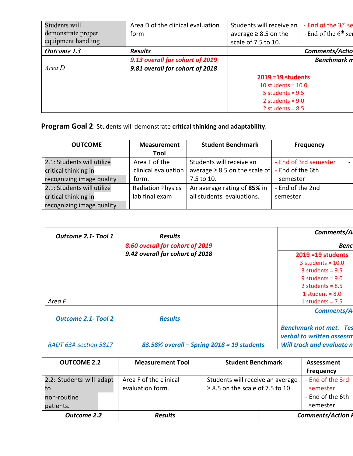| Students will      | Area D of the clinical evaluation | Students will receive an  | End of the 3 <sup>rd</sup> se |
|--------------------|-----------------------------------|---------------------------|-------------------------------|
| demonstrate proper | form                              | average $\geq 8.5$ on the | - End of the $6th$ set        |
| equipment handling |                                   | scale of 7.5 to 10.       |                               |
| <b>Outcome</b> 1.3 | <b>Results</b>                    |                           | Comments/Actio                |
|                    | 9.13 overall for cohort of 2019   |                           | <b>Benchmark n</b>            |
| Area D             | 9.81 overall for cohort of 2018   |                           |                               |
|                    |                                   | $2019 = 19$ students      |                               |
|                    |                                   | 10 students = $10.0$      |                               |
|                    |                                   | 5 students = $9.5$        |                               |
|                    |                                   | 2 students = $9.0$        |                               |
|                    |                                   | 2 students = $8.5$        |                               |

**Program Goal 2**: Students will demonstrate **critical thinking and adaptability**.

| <b>OUTCOME</b>             | <b>Measurement</b>       | <b>Student Benchmark</b>           | <b>Frequency</b>      |  |
|----------------------------|--------------------------|------------------------------------|-----------------------|--|
|                            | Tool                     |                                    |                       |  |
| 2.1: Students will utilize | Area F of the            | Students will receive an           | - End of 3rd semester |  |
| critical thinking in       | clinical evaluation      | average $\geq 8.5$ on the scale of | - End of the 6th      |  |
| recognizing image quality  | form.                    | 7.5 to 10.                         | semester              |  |
| 2.1: Students will utilize | <b>Radiation Physics</b> | An average rating of 85% in        | - End of the 2nd      |  |
| critical thinking in       | lab final exam           | all students' evaluations.         | semester              |  |
| recognizing image quality  |                          |                                    |                       |  |

| Outcome 2.1- Tool 1        | <b>Results</b>                             | Comments/A                       |
|----------------------------|--------------------------------------------|----------------------------------|
|                            | 8.60 overall for cohort of 2019            | <b>Benc</b>                      |
|                            | 9.42 overall for cohort of 2018            | $2019 = 19$ students             |
|                            |                                            | 3 students = $10.0$              |
|                            |                                            | $3$ students = 9.5               |
|                            |                                            | 9 students = $9.0$               |
|                            |                                            | 2 students = $8.5$               |
|                            |                                            | 1 student = $8.0$                |
| Area F                     |                                            | 1 students = $7.5$               |
|                            |                                            | <b>Comments/A</b>                |
| <b>Outcome 2.1- Tool 2</b> | <b>Results</b>                             |                                  |
|                            |                                            | <b>Benchmark not met. Tes</b>    |
|                            |                                            | verbal to written assessn        |
| RADT 63A section 5817      | 83.58% overall – Spring 2018 = 19 students | <b>Will track and evaluate n</b> |

| <b>OUTCOME 2.2</b>                                         | <b>Measurement Tool</b>                    | <b>Student Benchmark</b>                                                  | <b>Assessment</b>                                            |
|------------------------------------------------------------|--------------------------------------------|---------------------------------------------------------------------------|--------------------------------------------------------------|
|                                                            |                                            |                                                                           | <b>Frequency</b>                                             |
| 2.2: Students will adapt<br>to<br>non-routine<br>patients. | Area F of the clinical<br>evaluation form. | Students will receive an average<br>$\geq$ 8.5 on the scale of 7.5 to 10. | - End of the 3rd<br>semester<br>- End of the 6th<br>semester |
| <b>Outcome 2.2</b>                                         | <b>Results</b>                             |                                                                           | <b>Comments/Action I</b>                                     |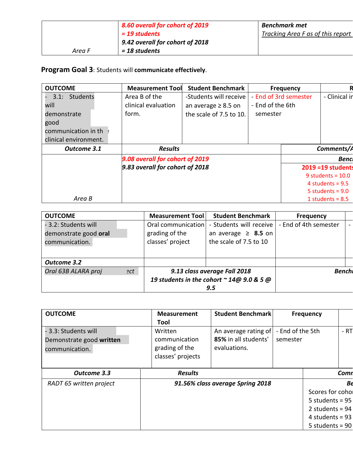|        | 8.60 overall for cohort of 2019 | <b>Benchmark met</b>              |
|--------|---------------------------------|-----------------------------------|
|        | $= 19$ students                 | Tracking Area F as of this report |
|        | 9.42 overall for cohort of 2018 |                                   |
| Area F | = 18 students                   |                                   |

# **Program Goal 3**: Students will **communicate effectively**.

| <b>Student Benchmark</b><br><b>Measurement Tool</b><br><b>Frequency</b><br>- End of 3rd semester<br>-Students will receive<br>Students<br>Area B of the<br>3.1:<br>clinical evaluation<br>- End of the 6th<br>an average $\geq 8.5$ on<br>form.<br>the scale of 7.5 to 10.<br>semester<br>Comments/A<br><b>Results</b><br>Outcome 3.1<br>9.08 overall for cohort of 2019<br>9.83 overall for cohort of 2018<br><b>2019 = 19 students</b><br>9 students = $10.0$<br>4 students = $9.5$<br>5 students = $9.0$<br>Area B<br>1 students = $8.5$ |                       |  |  |               |
|---------------------------------------------------------------------------------------------------------------------------------------------------------------------------------------------------------------------------------------------------------------------------------------------------------------------------------------------------------------------------------------------------------------------------------------------------------------------------------------------------------------------------------------------|-----------------------|--|--|---------------|
|                                                                                                                                                                                                                                                                                                                                                                                                                                                                                                                                             | <b>OUTCOME</b>        |  |  |               |
|                                                                                                                                                                                                                                                                                                                                                                                                                                                                                                                                             |                       |  |  | - Clinical in |
|                                                                                                                                                                                                                                                                                                                                                                                                                                                                                                                                             | will                  |  |  |               |
|                                                                                                                                                                                                                                                                                                                                                                                                                                                                                                                                             | demonstrate           |  |  |               |
|                                                                                                                                                                                                                                                                                                                                                                                                                                                                                                                                             | good                  |  |  |               |
|                                                                                                                                                                                                                                                                                                                                                                                                                                                                                                                                             | communication in th ? |  |  |               |
|                                                                                                                                                                                                                                                                                                                                                                                                                                                                                                                                             | clinical environment. |  |  |               |
|                                                                                                                                                                                                                                                                                                                                                                                                                                                                                                                                             |                       |  |  |               |
|                                                                                                                                                                                                                                                                                                                                                                                                                                                                                                                                             |                       |  |  | <b>Bencl</b>  |
|                                                                                                                                                                                                                                                                                                                                                                                                                                                                                                                                             |                       |  |  |               |
|                                                                                                                                                                                                                                                                                                                                                                                                                                                                                                                                             |                       |  |  |               |
|                                                                                                                                                                                                                                                                                                                                                                                                                                                                                                                                             |                       |  |  |               |
|                                                                                                                                                                                                                                                                                                                                                                                                                                                                                                                                             |                       |  |  |               |
|                                                                                                                                                                                                                                                                                                                                                                                                                                                                                                                                             |                       |  |  |               |

| <b>OUTCOME</b>                                                  |     | <b>Measurement Tool</b>                                                                              | <b>Student Benchmark</b>                                                      | <b>Frequency</b>      |  |
|-----------------------------------------------------------------|-----|------------------------------------------------------------------------------------------------------|-------------------------------------------------------------------------------|-----------------------|--|
| - 3.2: Students will<br>demonstrate good oral<br>communication. |     | Oral communication<br>grading of the<br>classes' project                                             | - Students will receive<br>an average $\geq$ 8.5 on<br>the scale of 7.5 to 10 | - End of 4th semester |  |
| <b>Outcome 3.2</b>                                              |     |                                                                                                      |                                                                               |                       |  |
| Oral 63B ALARA proj                                             | ?ct | 9.13 class average Fall 2018<br>19 students in the cohort $\sim$ 14 $\omega$ 9.0 & 5 $\omega$<br>9.5 |                                                                               | <b>Benchi</b>         |  |

| <b>OUTCOME</b>                                                     | <b>Measurement</b><br>Tool                                      | <b>Student Benchmark</b>                                     |                              | <b>Frequency</b>                                                                                     |       |
|--------------------------------------------------------------------|-----------------------------------------------------------------|--------------------------------------------------------------|------------------------------|------------------------------------------------------------------------------------------------------|-------|
| - 3.3: Students will<br>Demonstrate good written<br>communication. | Written<br>communication<br>grading of the<br>classes' projects | An average rating of<br>85% in all students'<br>evaluations. | - End of the 5th<br>semester |                                                                                                      | $-RT$ |
| <b>Outcome 3.3</b>                                                 | <b>Results</b>                                                  |                                                              |                              |                                                                                                      | Comn  |
| RADT 65 written project                                            |                                                                 | 91.56% class average Spring 2018                             |                              | Scores for cohol<br>5 students = $95$<br>2 students = $94$<br>4 students = $93$<br>5 students = $90$ | Be    |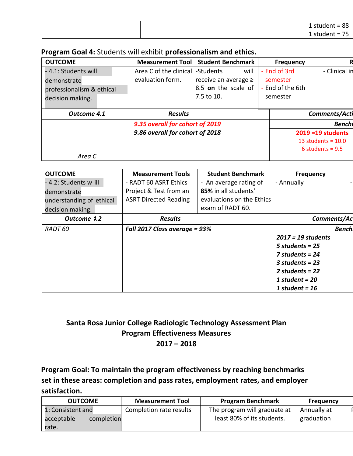|  | 88<br>1 student<br>$\overline{\phantom{a}}$<br>$\overline{\phantom{0}}$ |
|--|-------------------------------------------------------------------------|
|  | $ -$<br>student =<br>--<br>, ,                                          |

### **Program Goal 4:** Students will exhibit **professionalism and ethics.**

| <b>OUTCOME</b>            | <b>Measurement Tool</b>         | <b>Student Benchmark</b> | <b>Frequency</b> | R                    |
|---------------------------|---------------------------------|--------------------------|------------------|----------------------|
| - 4.1: Students will      | Area C of the clinical          | will<br>-Students        | - End of 3rd     | - Clinical in        |
| demonstrate               | evaluation form.                | receive an average $\ge$ | semester         |                      |
| professionalism & ethical |                                 | 8.5 on the scale of      | - End of the 6th |                      |
| decision making.          |                                 | 7.5 to 10.               | semester         |                      |
|                           |                                 |                          |                  |                      |
| Outcome 4.1               | <b>Results</b>                  |                          |                  | Comments/Acti        |
|                           | 9.35 overall for cohort of 2019 |                          |                  | <b>Benchi</b>        |
|                           | 9.86 overall for cohort of 2018 |                          |                  | $2019 = 19$ students |
|                           |                                 |                          |                  | 13 students = $10.0$ |
|                           |                                 |                          |                  | 6 students = $9.5$   |
| Area C                    |                                 |                          |                  |                      |

| <b>OUTCOME</b>           | <b>Measurement Tools</b>      | <b>Student Benchmark</b>  | <b>Frequency</b>     |
|--------------------------|-------------------------------|---------------------------|----------------------|
| - 4.2: Students w ill    | - RADT 60 ASRT Ethics         | - An average rating of    | - Annually           |
| demonstrate              | Project & Test from an        | 85% in all students'      |                      |
| understanding of ethical | <b>ASRT Directed Reading</b>  | evaluations on the Ethics |                      |
| decision making.         |                               | exam of RADT 60.          |                      |
| Outcome 1.2              | <b>Results</b>                |                           | Comments/Ad          |
| RADT 60                  | Fall 2017 Class average = 93% |                           | <b>Bench</b>         |
|                          |                               |                           | $2017 = 19$ students |
|                          |                               |                           | 5 students = $25$    |
|                          |                               |                           | 7 students = $24$    |
|                          |                               |                           | $3$ students = 23    |
|                          |                               |                           | 2 students = $22$    |
|                          |                               |                           | 1 student = $20$     |
|                          |                               |                           | 1 student = $16$     |

## **Santa Rosa Junior College Radiologic Technology Assessment Plan Program Effectiveness Measures 2017 – 2018**

**Program Goal: To maintain the program effectiveness by reaching benchmarks set in these areas: completion and pass rates, employment rates, and employer satisfaction.** 

| <b>OUTCOME</b>           | <b>Measurement Tool</b> | <b>Program Benchmark</b>     | <b>Frequency</b> |  |
|--------------------------|-------------------------|------------------------------|------------------|--|
| 1: Consistent and        | Completion rate results | The program will graduate at | Annually at      |  |
| acceptable<br>completion |                         | least 80% of its students.   | graduation       |  |
| rate.                    |                         |                              |                  |  |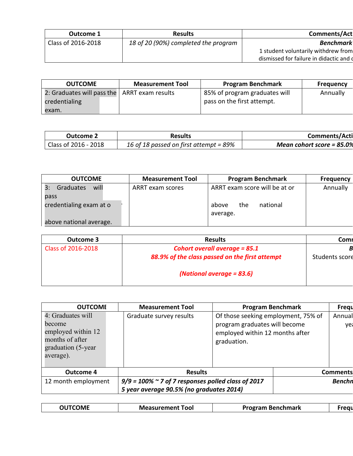| Outcome 1          | <b>Results</b>                       | Comments/Act                            |
|--------------------|--------------------------------------|-----------------------------------------|
| Class of 2016-2018 | 18 of 20 (90%) completed the program | <b>Benchmark</b>                        |
|                    |                                      | 1 student voluntarily withdrew from     |
|                    |                                      | dismissed for failure in didactic and d |

| <b>OUTCOME</b>                                 | <b>Measurement Tool</b> | <b>Program Benchmark</b>      | <b>Frequency</b> |
|------------------------------------------------|-------------------------|-------------------------------|------------------|
| 2: Graduates will pass the   ARRT exam results |                         | 85% of program graduates will | Annually         |
| credentialing                                  |                         | pass on the first attempt.    |                  |
| exam.                                          |                         |                               |                  |

| <b>Outcome 2</b>     | <b>Results</b>                         | Comments/Acti                |
|----------------------|----------------------------------------|------------------------------|
| Class of 2016 - 2018 | 16 of 18 passed on first attempt = 89% | Mean cohort score = $85.0\%$ |

| <b>OUTCOME</b>          | <b>Measurement Tool</b> | <b>Program Benchmark</b>      | <b>Frequency</b> |
|-------------------------|-------------------------|-------------------------------|------------------|
| Graduates<br>3:<br>will | ARRT exam scores        | ARRT exam score will be at or | Annually         |
| pass                    |                         |                               |                  |
| credentialing exam at o |                         | national<br>the<br>above      |                  |
|                         |                         | average.                      |                  |
| above national average. |                         |                               |                  |

| Outcome 3          | <b>Results</b>                                 | Comi           |
|--------------------|------------------------------------------------|----------------|
| Class of 2016-2018 | <b>Cohort overall average = 85.1</b>           |                |
|                    | 88.9% of the class passed on the first attempt | Students score |
|                    | (National average $= 83.6$ )                   |                |

| <b>OUTCOME</b>                                                                                          | <b>Measurement Tool</b>                                                                               | <b>Program Benchmark</b>                                                                                               | Frequ           |
|---------------------------------------------------------------------------------------------------------|-------------------------------------------------------------------------------------------------------|------------------------------------------------------------------------------------------------------------------------|-----------------|
| 4: Graduates will<br>become<br>employed within 12<br>months of after<br>graduation (5-year<br>average). | Graduate survey results                                                                               | Of those seeking employment, 75% of<br>program graduates will become<br>employed within 12 months after<br>graduation. | Annual<br>yea   |
| <b>Outcome 4</b>                                                                                        | <b>Results</b>                                                                                        |                                                                                                                        | <b>Comments</b> |
| 12 month employment                                                                                     | $9/9$ = 100% $\sim$ 7 of 7 responses polled class of 2017<br>5 year average 90.5% (no graduates 2014) |                                                                                                                        | <b>Benchn</b>   |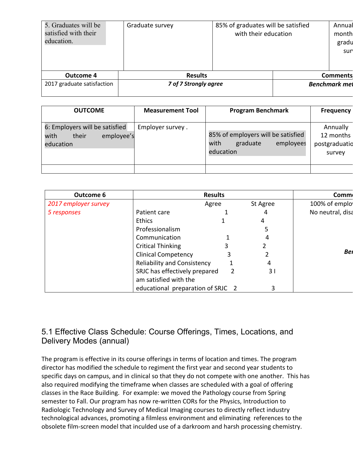| 5. Graduates will be<br>satisfied with their<br>education. | Graduate survey       | 85% of graduates will be satisfied<br>with their education | Annual<br>month<br>gradu<br>sur |
|------------------------------------------------------------|-----------------------|------------------------------------------------------------|---------------------------------|
| <b>Outcome 4</b>                                           | <b>Results</b>        |                                                            | <b>Comments</b>                 |
| 2017 graduate satisfaction                                 | 7 of 7 Strongly agree |                                                            | <b>Benchmark met</b>            |

| <b>OUTCOME</b>                                                             | <b>Measurement Tool</b> | <b>Program Benchmark</b>                                                         | <b>Frequency</b>                                 |
|----------------------------------------------------------------------------|-------------------------|----------------------------------------------------------------------------------|--------------------------------------------------|
| 6: Employers will be satisfied<br>their<br>with<br>employee's<br>education | Employer survey.        | 85% of employers will be satisfied<br>graduate<br>with<br>employees<br>education | Annually<br>12 months<br>postgraduatio<br>survey |
|                                                                            |                         |                                                                                  |                                                  |

| <b>Outcome 6</b>     |                                    | <b>Results</b> |                | <b>Comm</b>      |
|----------------------|------------------------------------|----------------|----------------|------------------|
| 2017 employer survey |                                    | Agree          | St Agree       | 100% of emplo    |
| 5 responses          | Patient care                       |                | 4              | No neutral, disa |
|                      | <b>Ethics</b>                      |                | 4              |                  |
|                      | Professionalism                    |                | 5              |                  |
|                      | Communication                      |                | 4              |                  |
|                      | <b>Critical Thinking</b>           |                |                |                  |
|                      | <b>Clinical Competency</b>         | 3              |                | Bei              |
|                      | <b>Reliability and Consistency</b> |                | 4              |                  |
|                      | SRJC has effectively prepared      | 2              | 3 <sup>1</sup> |                  |
|                      | am satisfied with the              |                |                |                  |
|                      | educational preparation of SRJC 2  |                | 3              |                  |

## 5.1 Effective Class Schedule: Course Offerings, Times, Locations, and Delivery Modes (annual)

The program is effective in its course offerings in terms of location and times. The program director has modified the schedule to regiment the first year and second year students to specific days on campus, and in clinical so that they do not compete with one another. This has also required modifying the timeframe when classes are scheduled with a goal of offering classes in the Race Building. For example: we moved the Pathology course from Spring semester to Fall. Our program has now re-written CORs for the Physics, Introduction to Radiologic Technology and Survey of Medical Imaging courses to directly reflect industry technological advances, promoting a filmless environment and eliminating references to the obsolete film-screen model that inculded use of a darkroom and harsh processing chemistry.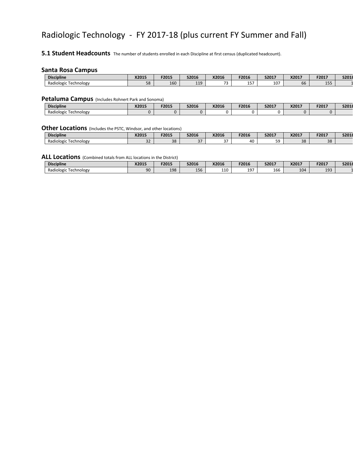# Radiologic Technology - FY 2017-18 (plus current FY Summer and Fall)

**5.1 Student Headcounts** The number of students enrolled in each Discipline at first census (duplicated headcount).

#### **Santa Rosa Campus**

| <b>Discipline</b>                                                 | V201F<br>AZUIJ          | F2015 | S2016      | X2016                          | F2016        | S2017 | X2017           | F2017         | S2018 |
|-------------------------------------------------------------------|-------------------------|-------|------------|--------------------------------|--------------|-------|-----------------|---------------|-------|
| $\cdot$ .<br>Radiologic<br>Technology<br>$\overline{\phantom{a}}$ | $\Gamma$ $\Omega$<br>JО | 160   | 110<br>--- | $\overline{\phantom{0}}$<br>۰. | $- - -$<br>∸ | 107   | - -<br>--<br>υυ | $A = F$<br>∸~ |       |

#### **Petaluma Campus** (Includes Rohnert Park and Sonoma)

| <b>Discipline</b>                      | X2015 | F2015 | S2016 | X2016 | F2016 | S2017 | X2017 | F2017 | S2018 |
|----------------------------------------|-------|-------|-------|-------|-------|-------|-------|-------|-------|
| Radio<br><b>Fechnology</b><br>ilogic 1 |       |       |       |       |       |       |       |       |       |

#### **Other Locations** (Includes the PSTC, Windsor, and other locations)

| <b>Discipline</b>                 | X2015     | F2015    | S2016   | X2016      | F2016 | S2017    | X2017 | F2017          | S2018 |
|-----------------------------------|-----------|----------|---------|------------|-------|----------|-------|----------------|-------|
| Radiologic T<br><b>Fechnology</b> | ~~<br>ے ر | າດ<br>30 | <b></b> | $\sim$ $-$ | 40    | 50<br>-- | 38    | $\Omega$<br>30 |       |

#### **ALL Locations** (Combined totals from ALL locations in the District)

| <b>Discipline</b>                 | X2015    | F2015 | S2016         | X2016                  | F2016 | S2017 | X2017 | F2017     | S2018 |
|-----------------------------------|----------|-------|---------------|------------------------|-------|-------|-------|-----------|-------|
| Radiologic T<br><b>Fechnology</b> | ∩∩<br>JU | 198   | $- -$<br>∡56. | 10 <sup>1</sup><br>ᆠᅶᄾ | 197   | 166   | 104   | 102<br>∸∽ |       |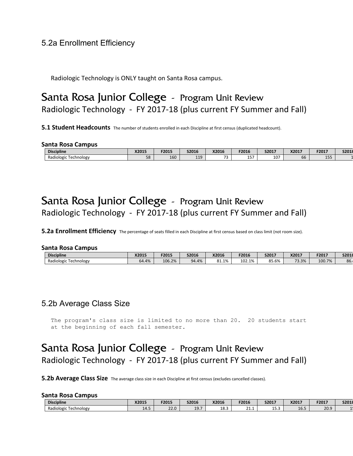### 5.2a Enrollment Efficiency

Radiologic Technology is ONLY taught on Santa Rosa campus.

# Santa Rosa Junior College - Program Unit Review Radiologic Technology - FY 2017-18 (plus current FY Summer and Fall)

**5.1 Student Headcounts** The number of students enrolled in each Discipline at first census (duplicated headcount).

#### **Santa Rosa Campus**

| <b>Discipline</b>             | X2015                   | F2015 | <b>S2016</b> | X2016        | F2016  | S2017        | V2017<br>AZUI.      | F2017         | S2018 |
|-------------------------------|-------------------------|-------|--------------|--------------|--------|--------------|---------------------|---------------|-------|
| -<br>Radiologic<br>Fechnology | $\Gamma$ $\Omega$<br>oc | 160   | 110<br>---   | $\sim$<br>۰. | .<br>∸ | $10-1$<br>ΨU | $\sim$ $\sim$<br>bb | $- - -$<br>∸~ |       |

# Santa Rosa Junior College - Program Unit Review Radiologic Technology - FY 2017-18 (plus current FY Summer and Fall)

**5.2a Enrollment Efficiency** The percentage of seats filled in each Discipline at first census based on class limit (not room size).

#### **Santa Rosa Campus**

| <b>Discipline</b>                    | X2015 | F2015        | <b>S2016</b> | X2016 | F2016  | S2017 | X2017 | F2017  | S2018 |
|--------------------------------------|-------|--------------|--------------|-------|--------|-------|-------|--------|-------|
| <b>_</b><br>Radiologic<br>Technologv | 64.4% | 2%<br>106.2% | 94.4%        | 81.1% | 102.1% | 85.6% | 73.3% | 100.7% | 86.   |

### 5.2b Average Class Size

The program's class size is limited to no more than 20. 20 students start at the beginning of each fall semester.

# Santa Rosa Junior College - Program Unit Review Radiologic Technology - FY 2017-18 (plus current FY Summer and Fall)

**5.2b Average Class Size** The average class size in each Discipline at first census (excludes cancelled classes).

#### **Santa Rosa Campus**

| <b>Discipline</b>               | X2015 | F2015       | S2016              | X2016                                      | F2016              | S2017      | X2017 | F2017 | S2018 |
|---------------------------------|-------|-------------|--------------------|--------------------------------------------|--------------------|------------|-------|-------|-------|
| Radiologic<br>Fechnology<br>. . | 14.5  | 220<br>44.U | $\sim$ $\sim$<br>. | $\sim$<br>$\overline{\phantom{a}}$<br>10.9 | $\sim$<br><u>.</u> | $ -$<br>⊥. | 10.5  | 20.9  |       |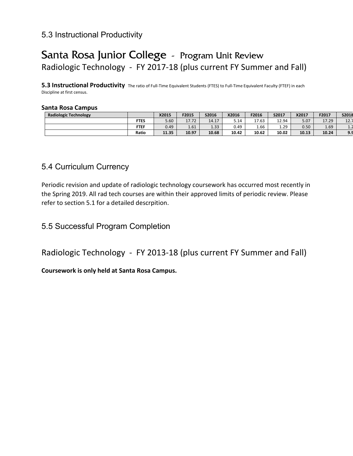## 5.3 Instructional Productivity

# Santa Rosa Junior College - Program Unit Review Radiologic Technology - FY 2017-18 (plus current FY Summer and Fall)

**5.3 Instructional Productivity** The ratio of Full-Time Equivalent Students (FTES) to Full-Time Equivalent Faculty (FTEF) in each Discipline at first census.

#### **Santa Rosa Campus**

| <b>Radiologic Technology</b> |             | X2015 | F2015         | S2016       | X2016 | F2016 | S2017 | X2017 | F2017 | S2018   |
|------------------------------|-------------|-------|---------------|-------------|-------|-------|-------|-------|-------|---------|
|                              | <b>FTES</b> | 5.60  | 1772<br>11.12 | 17<br>14.17 | 5.14  | 17.63 | 12.94 | 5.07  | 17.29 | 12.7    |
|                              | <b>FTEF</b> | 0.49  | 1.61          | 1.33        | 0.49  | 1.66  | 1.29  | 0.50  | 1.69  | $\pm$ . |
|                              | Ratio       | 11.35 | 10.97         | 10.68       | 10.42 | 10.62 | 10.02 | 10.13 | 10.24 | 9.9     |

### 5.4 Curriculum Currency

Periodic revision and update of radiologic technology coursework has occurred most recently in the Spring 2019. All rad tech courses are within their approved limits of periodic review. Please refer to section 5.1 for a detailed descrpition.

# 5.5 Successful Program Completion

Radiologic Technology - FY 2013-18 (plus current FY Summer and Fall)

**Coursework is only held at Santa Rosa Campus.**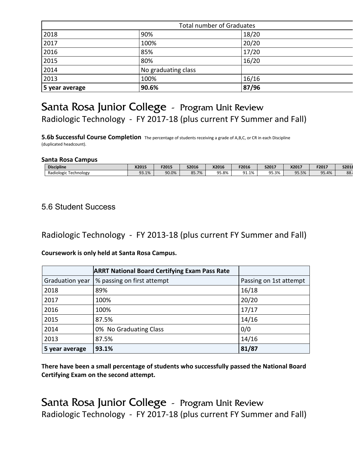|                | <b>Total number of Graduates</b> |       |  |  |  |  |  |  |
|----------------|----------------------------------|-------|--|--|--|--|--|--|
| 2018           | 90%                              | 18/20 |  |  |  |  |  |  |
| 2017           | 100%                             | 20/20 |  |  |  |  |  |  |
| 2016           | 85%                              | 17/20 |  |  |  |  |  |  |
| 2015           | 80%                              | 16/20 |  |  |  |  |  |  |
| 2014           | No graduating class              |       |  |  |  |  |  |  |
| 2013           | 100%                             | 16/16 |  |  |  |  |  |  |
| 5 year average | 90.6%                            | 87/96 |  |  |  |  |  |  |

# Santa Rosa Junior College - Program Unit Review Radiologic Technology - FY 2017-18 (plus current FY Summer and Fall)

**5.6b Successful Course Completion** The percentage of students receiving a grade of A,B,C, or CR in each Discipline (duplicated headcount).

#### **Santa Rosa Campus**

| <b>Discipline</b>                    | X2015    | F2015 | S2016 | X2016 | F2016                      | S2017 | X2017 | F2017 | S2018                  |
|--------------------------------------|----------|-------|-------|-------|----------------------------|-------|-------|-------|------------------------|
| -<br>. .<br>Radiologic<br>Technology | $-3.1\%$ | 90.0% | 85.7% | 95.8% | $^{\circ}$<br>1%<br>ノエ・エノい | 5.3%  | 95.5% | 95.4% | $\Omega$<br><b>00.</b> |

### 5.6 Student Success

Radiologic Technology - FY 2013-18 (plus current FY Summer and Fall)

#### **Coursework is only held at Santa Rosa Campus.**

|                 | <b>ARRT National Board Certifying Exam Pass Rate</b> |                        |
|-----------------|------------------------------------------------------|------------------------|
| Graduation year | % passing on first attempt                           | Passing on 1st attempt |
| 2018            | 89%                                                  | 16/18                  |
| 2017            | 100%                                                 | 20/20                  |
| 2016            | 100%                                                 | 17/17                  |
| 2015            | 87.5%                                                | 14/16                  |
| 2014            | 0% No Graduating Class                               | 0/0                    |
| 2013            | 87.5%                                                | 14/16                  |
| 5 year average  | 93.1%                                                | 81/87                  |

**There have been a small percentage of students who successfully passed the National Board Certifying Exam on the second attempt.** 

Santa Rosa Junior College - Program Unit Review Radiologic Technology - FY 2017-18 (plus current FY Summer and Fall)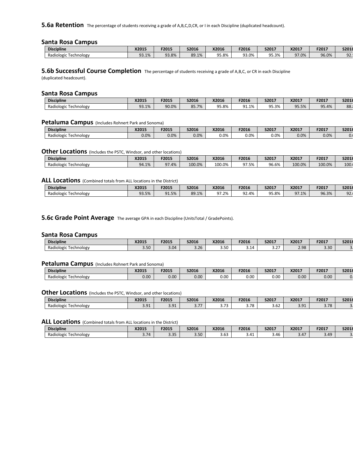**5.6a Retention** The percentage of students receiving a grade of A,B,C,D,CR, or I in each Discipline (duplicated headcount).

#### **Santa Rosa Campus**

| <b>Discipline</b>                                     | X2015    | F2015 | S2016 | X2016 | F2016       | S2017                          | X2017    | F2017 | S2018  |
|-------------------------------------------------------|----------|-------|-------|-------|-------------|--------------------------------|----------|-------|--------|
| $\overline{\phantom{a}}$<br>Radiologic,<br>Technology | $-3.1\%$ | 93.8% | 89.1% | 95.8% | ۹R<br>93.0% | <b>OF</b><br>$\Omega$<br>95.3% | $J1.0\%$ | 96.0% | $\cap$ |

**5.6b Successful Course Completion** The percentage of students receiving a grade of A,B,C, or CR in each Discipline (duplicated headcount).

#### **Santa Rosa Campus**

| <b>Discipline</b>          | X2015 | F2015 | S2016                     | X2016 | F2016    | S2017 | X2017 | F2017 | S2018           |
|----------------------------|-------|-------|---------------------------|-------|----------|-------|-------|-------|-----------------|
| Radiologic T<br>Technology | 93.1% | 90.0% | 85 7%<br>ບບ. <i>i /</i> ເ | 95.8% | $-31.1%$ | 95.3% | 35.5% | 95.4% | $\Omega$<br>oö. |

#### **Petaluma Campus** (Includes Rohnert Park and Sonoma)

| <b>Discipline</b>        | X2015 | F2015   | S2016 | X2016   | F2016   | S2017   | X2017 | F2017 | S2018 |
|--------------------------|-------|---------|-------|---------|---------|---------|-------|-------|-------|
| Radiologic<br>Technology | 0.0%  | $0.0\%$ | 0.0%  | $0.0\%$ | $0.0\%$ | $0.0\%$ | 0.0%  | 0.0%  | v.,   |

#### **Other Locations** (Includes the PSTC, Windsor, and other locations)

| <b>Discipline</b>        | X2015 | F2015   | S2016  | X2016  | F2016 | S2017 | X2017  | F2017  | S2018           |
|--------------------------|-------|---------|--------|--------|-------|-------|--------|--------|-----------------|
| Radiologic<br>Technology | 94.1% | $1.4\%$ | 100.0% | 100.0% | 97.5% | 96.6% | 100.0% | 100.0% | $\sim$<br>TOO'I |

#### **ALL Locations** (Combined totals from ALL locations in the District)

| <b>Discipline</b>        | X2015 | F2015 | <b>S2016</b> | X2016   | F2016                 | S2017 | X2017            | F2017 | S2018           |
|--------------------------|-------|-------|--------------|---------|-----------------------|-------|------------------|-------|-----------------|
| Radiologic<br>Fechnology | 93.5% | 91.5% | 89.1%        | $1.2\%$ | $\sim$<br>4%<br>، ے ر | 95.8% | 97 1%<br>J/1.1/2 | 96.3% | $\Omega$<br>JL. |

#### **5.6c Grade Point Average** The average GPA in each Discipline (UnitsTotal / GradePoints).

#### **Santa Rosa Campus**

| <b>Discipline</b>                            | X2015              | F2015 | <b>S2016</b>          | X2016 | F2016 | S2017                     | X2017          | F2017 | S2018 |
|----------------------------------------------|--------------------|-------|-----------------------|-------|-------|---------------------------|----------------|-------|-------|
| $\cdot$ .<br>Radiologic<br><b>Technology</b> | $\sqrt{2}$<br>3.30 | 3.04  | $\Omega$<br>-<br>3.ZD | 3.50  | 3.14  | $\sim$ $\sim$<br><u>.</u> | 7.98<br>$\sim$ | 3.30  |       |

#### **Petaluma Campus** (Includes Rohnert Park and Sonoma)

| <b>Discipline</b>             | X2015 | F2015 | <b>S2016</b>      | X2016 | F2016 | S2017 | X2017       | F2017 | S2018 |
|-------------------------------|-------|-------|-------------------|-------|-------|-------|-------------|-------|-------|
| Radiologic<br>Fechnology<br>ີ | 0.00  | 0.00  | 0.00 <sub>1</sub> | 0.00  | 0.00  | 0.00  | 100<br>v.uu | 0.00  |       |

#### **Other Locations** (Includes the PSTC, Windsor, and other locations)

| <b>Discipline</b>                    | X2015        | F2015                          | S2016              | X2016                         | F2016       | S2017          | X2017          | F2017 | S2018 |
|--------------------------------------|--------------|--------------------------------|--------------------|-------------------------------|-------------|----------------|----------------|-------|-------|
| $\cdots$<br>Radiologic<br>Fechnology | ״∩ כ<br>J.J. | $\n  \n  \circ$ 01<br><u>.</u> | $- - -$<br>$\cdot$ | $\overline{\phantom{a}}$<br>. | 70<br>ه ، د | $\sim$<br>3.OZ | $\sim$<br>し・しエ | 3.78  |       |

#### ALL Locations (Combined totals from ALL locations in the District)

| <b>Discipline</b>        | X2015        | F2015        | S2016                   | X2016                        | F2016 | S2017 | X2017 | F2017 | S2018 |
|--------------------------|--------------|--------------|-------------------------|------------------------------|-------|-------|-------|-------|-------|
| Radiologic<br>Technology | $-1$<br>3.10 | 2.25<br>J.JJ | 50 <sup>2</sup><br>ว.วบ | $\sim$ $\sim$<br>. .<br>J.UJ | 3.41  | 3.4b  | 3.47  | 3.49  |       |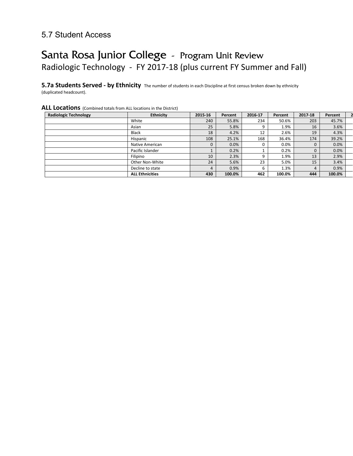### 5.7 Student Access

# Santa Rosa Junior College - Program Unit Review Radiologic Technology - FY 2017-18 (plus current FY Summer and Fall)

**5.7a Students Served - by Ethnicity** The number of students in each Discipline at first census broken down by ethnicity (duplicated headcount).

#### **ALL Locations** (Combined totals from ALL locations in the District)

| <b>Radiologic Technology</b> | <b>Ethnicity</b>       | 2015-16     | Percent | 2016-17 | Percent | 2017-18     | Percent |  |
|------------------------------|------------------------|-------------|---------|---------|---------|-------------|---------|--|
|                              | White                  | 240         | 55.8%   | 234     | 50.6%   | 203         | 45.7%   |  |
|                              | Asian                  | 25          | 5.8%    | 9       | 1.9%    | 16          | 3.6%    |  |
|                              | <b>Black</b>           | 18          | 4.2%    | 12      | 2.6%    | 19          | 4.3%    |  |
|                              | Hispanic               | 108         | 25.1%   | 168     | 36.4%   | 174         | 39.2%   |  |
|                              | Native American        | $\mathbf 0$ | 0.0%    |         | 0.0%    | $\mathbf 0$ | 0.0%    |  |
|                              | Pacific Islander       |             | 0.2%    |         | 0.2%    | $\mathbf 0$ | 0.0%    |  |
|                              | Filipino               | 10          | 2.3%    | q       | 1.9%    | 13          | 2.9%    |  |
|                              | Other Non-White        | 24          | 5.6%    | 23      | 5.0%    | 15          | 3.4%    |  |
|                              | Decline to state       | 4           | 0.9%    | b       | 1.3%    | 4           | 0.9%    |  |
|                              | <b>ALL Ethnicities</b> | 430         | 100.0%  | 462     | 100.0%  | 444         | 100.0%  |  |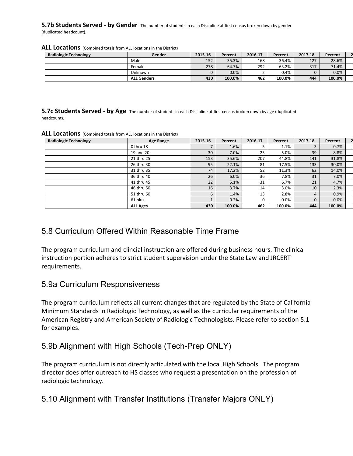#### **5.7b Students Served - by Gender** The number of students in each Discipline at first census broken down by gender (duplicated headcount).

| <b>Radiologic Technology</b> | Gender             | 2015-16 | Percent | 2016 17 | Percent | 2017-18 | Percent |  |
|------------------------------|--------------------|---------|---------|---------|---------|---------|---------|--|
|                              | Male               | 152     | 35.3%   | 168     | 36.4%   | 127     | 28.6%   |  |
|                              | Female             | 278     | 64.7%   | 292     | 63.2%   | 317     | 71.4%   |  |
|                              | Unknown            |         | 0.0%    |         | 0.4%    | 0       | 0.0%    |  |
|                              | <b>ALL Genders</b> | 430     | 100.0%  | 462     | 100.0%  | 444     | 100.0%  |  |

#### **ALL Locations** (Combined totals from ALL locations in the District)

**5.7c Students Served - by Age** The number of students in each Discipline at first census broken down by age (duplicated headcount).

| <b>Radiologic Technology</b> | <b>Age Range</b> | 2015-16 | Percent | 2016-17 | Percent | 2017-18  | Percent |  |
|------------------------------|------------------|---------|---------|---------|---------|----------|---------|--|
|                              | 0 thru 18        |         | 1.6%    |         | 1.1%    |          | 0.7%    |  |
|                              | 19 and 20        | 30      | 7.0%    | 23      | 5.0%    | 39       | 8.8%    |  |
|                              | 21 thru 25       | 153     | 35.6%   | 207     | 44.8%   | 141      | 31.8%   |  |
|                              | 26 thru 30       | 95      | 22.1%   | 81      | 17.5%   | 133      | 30.0%   |  |
|                              | 31 thru 35       | 74      | 17.2%   | 52      | 11.3%   | 62       | 14.0%   |  |
|                              | 36 thru 40       | 26      | 6.0%    | 36      | 7.8%    | 31       | 7.0%    |  |
|                              | 41 thru 45       | 22      | 5.1%    | 31      | 6.7%    | 21       | 4.7%    |  |
|                              | 46 thru 50       | 16      | 3.7%    | 14      | 3.0%    | 10       | 2.3%    |  |
|                              | 51 thru 60       | 6       | 1.4%    | 13      | 2.8%    | 4        | 0.9%    |  |
|                              | 61 plus          |         | 0.2%    | 0       | 0.0%    | $\Omega$ | 0.0%    |  |
|                              | <b>ALL Ages</b>  | 430     | 100.0%  | 462     | 100.0%  | 444      | 100.0%  |  |

#### **ALL Locations** (Combined totals from ALL locations in the District)

### 5.8 Curriculum Offered Within Reasonable Time Frame

The program curriculum and clincial instruction are offered during business hours. The clinical instruction portion adheres to strict student supervision under the State Law and JRCERT requirements.

### 5.9a Curriculum Responsiveness

The program curriculum reflects all current changes that are regulated by the State of California Minimum Standards in Radiologic Technology, as well as the curricular requirements of the American Registry and American Society of Radiologic Technologists. Please refer to section 5.1 for examples.

### 5.9b Alignment with High Schools (Tech-Prep ONLY)

The program curriculum is not directly articulated with the local High Schools. The program director does offer outreach to HS classes who request a presentation on the profession of radiologic technology.

### 5.10 Alignment with Transfer Institutions (Transfer Majors ONLY)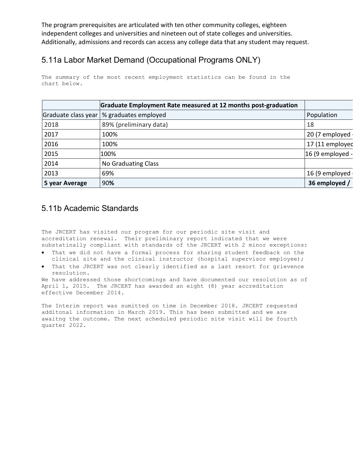The program prerequisites are articulated with ten other community colleges, eighteen independent colleges and universities and nineteen out of state colleges and universities. Additionally, admissions and records can access any college data that any student may request.

## 5.11a Labor Market Demand (Occupational Programs ONLY)

The summary of the most recent employment statistics can be found in the chart below.

|                     | Graduate Employment Rate measured at 12 months post-graduation |                  |
|---------------------|----------------------------------------------------------------|------------------|
| Graduate class year | % graduates employed                                           | Population       |
| 2018                | 89% (preliminary data)                                         | 18               |
| 2017                | 100%                                                           | 20 (7 employed   |
| 2016                | 100%                                                           | 17 (11 employed  |
| 2015                | 100%                                                           | 16 (9 employed - |
| 2014                | No Graduating Class                                            |                  |
| 2013                | 69%                                                            | 16 (9 employed   |
| 5 year Average      | 90%                                                            | 36 employed /    |

### 5.11b Academic Standards

The JRCERT has visited our program for our periodic site visit and accreditation renewal. Their preliminary report indicated that we were substatinally compliant with standards of the JRCERT with 2 minor exceptions:

- That we did not have a formal process for sharing student feedback on the clinical site and the clinical instructor (hospital supervisor employee);
- That the JRCERT was not clearly identified as a last resort for grievence resolution.

We have addressed those shortcomings and have documented our resolution as of April 1, 2015. The JRCERT has awarded an eight (8) year accreditation effective December 2014.

The Interim report was sumitted on time in December 2018. JRCERT requested additonal information in March 2019. This has been submitted and we are awaitng the outcome. The next scheduled periodic site visit will be fourth quarter 2022.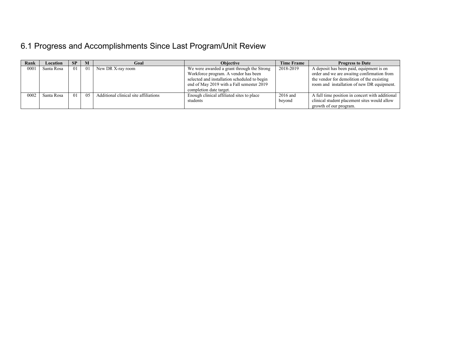# 6.1 Progress and Accomplishments Since Last Program/Unit Review

| Rank | Location   | <b>SP</b> | M  | Goal                                  | <b>Objective</b>                             | <b>Time Frame</b> | <b>Progress to Date</b>                         |
|------|------------|-----------|----|---------------------------------------|----------------------------------------------|-------------------|-------------------------------------------------|
| 0001 | Santa Rosa | 01        | 01 | New DR X-ray room                     | We were awarded a grant through the Strong   | 2018-2019         | A deposit has been paid, equipment is on        |
|      |            |           |    |                                       | Workforce program. A vendor has been         |                   | order and we are awaiting confirmation from     |
|      |            |           |    |                                       | selected and installation scheduled to begin |                   | the vendor for demolition of the exsisting      |
|      |            |           |    |                                       | end of May 2019 with a Fall semester 2019    |                   | room and installation of new DR equipment.      |
|      |            |           |    |                                       | completion date target.                      |                   |                                                 |
| 0002 | Santa Rosa | 01        | 05 | Additional clinical site affiliations | Enough clinical affiliated sites to place    | 2016 and          | A full time position in concert with additional |
|      |            |           |    |                                       | students                                     | beyond            | clinical student placement sites would allow    |
|      |            |           |    |                                       |                                              |                   | growth of our program.                          |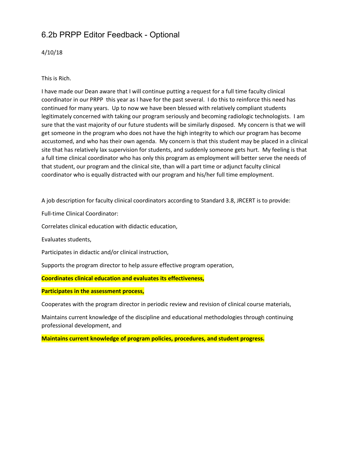## 6.2b PRPP Editor Feedback - Optional

4/10/18

This is Rich.

I have made our Dean aware that I will continue putting a request for a full time faculty clinical coordinator in our PRPP this year as I have for the past several. I do this to reinforce this need has continued for many years. Up to now we have been blessed with relatively compliant students legitimately concerned with taking our program seriously and becoming radiologic technologists. I am sure that the vast majority of our future students will be similarly disposed. My concern is that we will get someone in the program who does not have the high integrity to which our program has become accustomed, and who has their own agenda. My concern is that this student may be placed in a clinical site that has relatively lax supervision for students, and suddenly someone gets hurt. My feeling is that a full time clinical coordinator who has only this program as employment will better serve the needs of that student, our program and the clinical site, than will a part time or adjunct faculty clinical coordinator who is equally distracted with our program and his/her full time employment.

A job description for faculty clinical coordinators according to Standard 3.8, JRCERT is to provide:

Full-time Clinical Coordinator:

Correlates clinical education with didactic education,

Evaluates students,

Participates in didactic and/or clinical instruction,

Supports the program director to help assure effective program operation,

**Coordinates clinical education and evaluates its effectiveness,**

**Participates in the assessment process,**

Cooperates with the program director in periodic review and revision of clinical course materials,

Maintains current knowledge of the discipline and educational methodologies through continuing professional development, and

**Maintains current knowledge of program policies, procedures, and student progress.**